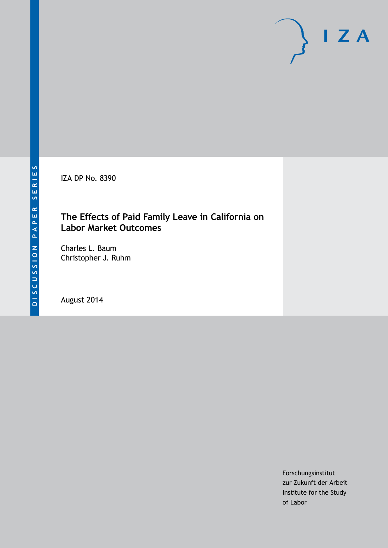IZA DP No. 8390

### **The Effects of Paid Family Leave in California on Labor Market Outcomes**

Charles L. Baum Christopher J. Ruhm

August 2014

Forschungsinstitut zur Zukunft der Arbeit Institute for the Study of Labor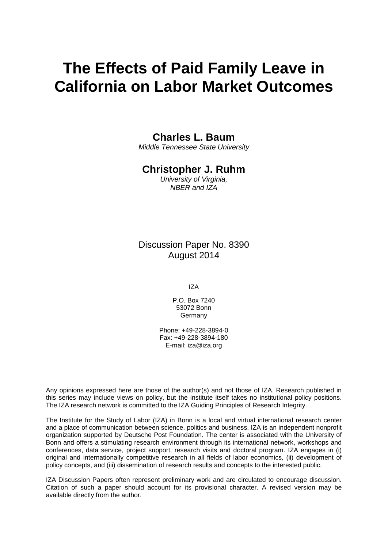# **The Effects of Paid Family Leave in California on Labor Market Outcomes**

### **Charles L. Baum**

*Middle Tennessee State University*

### **Christopher J. Ruhm**

*University of Virginia, NBER and IZA*

Discussion Paper No. 8390 August 2014

IZA

P.O. Box 7240 53072 Bonn Germany

Phone: +49-228-3894-0 Fax: +49-228-3894-180 E-mail: [iza@iza.org](mailto:iza@iza.org)

Any opinions expressed here are those of the author(s) and not those of IZA. Research published in this series may include views on policy, but the institute itself takes no institutional policy positions. The IZA research network is committed to the IZA Guiding Principles of Research Integrity.

The Institute for the Study of Labor (IZA) in Bonn is a local and virtual international research center and a place of communication between science, politics and business. IZA is an independent nonprofit organization supported by Deutsche Post Foundation. The center is associated with the University of Bonn and offers a stimulating research environment through its international network, workshops and conferences, data service, project support, research visits and doctoral program. IZA engages in (i) original and internationally competitive research in all fields of labor economics, (ii) development of policy concepts, and (iii) dissemination of research results and concepts to the interested public.

IZA Discussion Papers often represent preliminary work and are circulated to encourage discussion. Citation of such a paper should account for its provisional character. A revised version may be available directly from the author.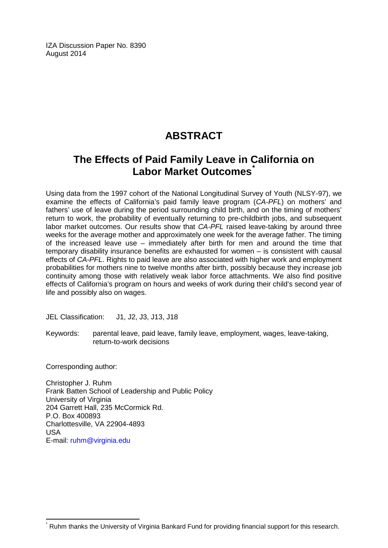IZA Discussion Paper No. 8390 August 2014

# **ABSTRACT**

## **The Effects of Paid Family Leave in California on Labor Market Outcomes[\\*](#page-2-0)**

Using data from the 1997 cohort of the National Longitudinal Survey of Youth (NLSY-97), we examine the effects of California's paid family leave program (*CA-PFL*) on mothers' and fathers' use of leave during the period surrounding child birth, and on the timing of mothers' return to work, the probability of eventually returning to pre-childbirth jobs, and subsequent labor market outcomes. Our results show that *CA-PFL* raised leave-taking by around three weeks for the average mother and approximately one week for the average father. The timing of the increased leave use – immediately after birth for men and around the time that temporary disability insurance benefits are exhausted for women – is consistent with causal effects of *CA-PFL*. Rights to paid leave are also associated with higher work and employment probabilities for mothers nine to twelve months after birth, possibly because they increase job continuity among those with relatively weak labor force attachments. We also find positive effects of California's program on hours and weeks of work during their child's second year of life and possibly also on wages.

JEL Classification: J1, J2, J3, J13, J18

Keywords: parental leave, paid leave, family leave, employment, wages, leave-taking, return-to-work decisions

Corresponding author:

Christopher J. Ruhm Frank Batten School of Leadership and Public Policy University of Virginia 204 Garrett Hall, 235 McCormick Rd. P.O. Box 400893 Charlottesville, VA 22904-4893 USA E-mail: [ruhm@virginia.edu](mailto:ruhm@virginia.edu)

<span id="page-2-0"></span>Ruhm thanks the University of Virginia Bankard Fund for providing financial support for this research.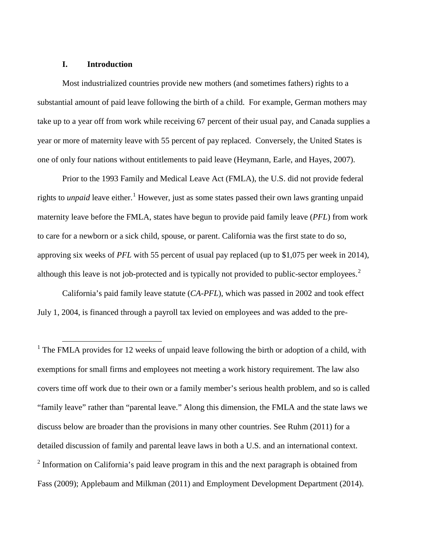#### **I. Introduction**

Most industrialized countries provide new mothers (and sometimes fathers) rights to a substantial amount of paid leave following the birth of a child. For example, German mothers may take up to a year off from work while receiving 67 percent of their usual pay, and Canada supplies a year or more of maternity leave with 55 percent of pay replaced. Conversely, the United States is one of only four nations without entitlements to paid leave (Heymann, Earle, and Hayes, 2007).

Prior to the 1993 Family and Medical Leave Act (FMLA), the U.S. did not provide federal rights to *unpaid* leave either. <sup>1</sup> However, just as some states passed their own laws granting unpaid maternity leave before the FMLA, states have begun to provide paid family leave (*PFL*) from work to care for a newborn or a sick child, spouse, or parent. California was the first state to do so, approving six weeks of *PFL* with 55 percent of usual pay replaced (up to \$1,075 per week in 2014), although this leave is not job-protected and is typically not provided to public-sector employees.<sup>[2](#page-3-0)</sup>

California's paid family leave statute (*CA-PFL*), which was passed in 2002 and took effect July 1, 2004, is financed through a payroll tax levied on employees and was added to the pre-

<span id="page-3-1"></span><span id="page-3-0"></span><sup>1</sup> The FMLA provides for 12 weeks of unpaid leave following the birth or adoption of a child, with exemptions for small firms and employees not meeting a work history requirement. The law also covers time off work due to their own or a family member's serious health problem, and so is called "family leave" rather than "parental leave." Along this dimension, the FMLA and the state laws we discuss below are broader than the provisions in many other countries. See Ruhm (2011) for a detailed discussion of family and parental leave laws in both a U.S. and an international context.  $2$  Information on California's paid leave program in this and the next paragraph is obtained from Fass (2009); Applebaum and Milkman (2011) and Employment Development Department (2014).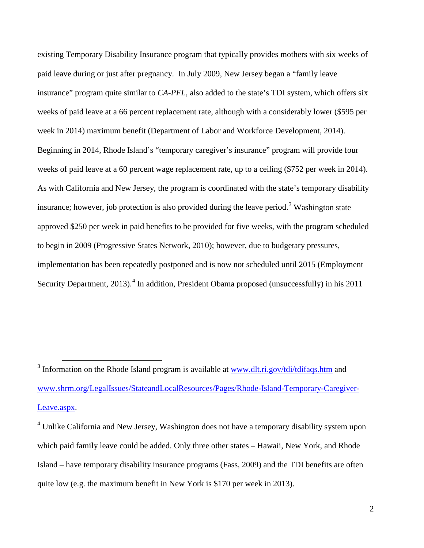existing Temporary Disability Insurance program that typically provides mothers with six weeks of paid leave during or just after pregnancy. In July 2009, New Jersey began a "family leave insurance" program quite similar to *CA-PFL*, also added to the state's TDI system, which offers six weeks of paid leave at a 66 percent replacement rate, although with a considerably lower (\$595 per week in 2014) maximum benefit (Department of Labor and Workforce Development, 2014). Beginning in 2014, Rhode Island's "temporary caregiver's insurance" program will provide four weeks of paid leave at a 60 percent wage replacement rate, up to a ceiling (\$752 per week in 2014). As with California and New Jersey, the program is coordinated with the state's temporary disability insurance; however, job protection is also provided during the leave period.<sup>[3](#page-3-1)</sup> Washington state approved \$250 per week in paid benefits to be provided for five weeks, with the program scheduled to begin in 2009 (Progressive States Network, 2010); however, due to budgetary pressures, implementation has been repeatedly postponed and is now not scheduled until 2015 (Employment Security Department, 2013).<sup>[4](#page-4-0)</sup> In addition, President Obama proposed (unsuccessfully) in his 2011

<span id="page-4-1"></span> $3$  Information on the Rhode Island program is available at [www.dlt.ri.gov/tdi/tdifaqs.htm](http://www.dlt.ri.gov/tdi/tdifaqs.htm) and [www.shrm.org/LegalIssues/StateandLocalResources/Pages/Rhode-Island-Temporary-Caregiver-](http://www.shrm.org/LegalIssues/StateandLocalResources/Pages/Rhode-Island-Temporary-Caregiver-Leave.aspx)[Leave.aspx.](http://www.shrm.org/LegalIssues/StateandLocalResources/Pages/Rhode-Island-Temporary-Caregiver-Leave.aspx)

<span id="page-4-0"></span><sup>&</sup>lt;sup>4</sup> Unlike California and New Jersey, Washington does not have a temporary disability system upon which paid family leave could be added. Only three other states – Hawaii, New York, and Rhode Island – have temporary disability insurance programs (Fass, 2009) and the TDI benefits are often quite low (e.g. the maximum benefit in New York is \$170 per week in 2013).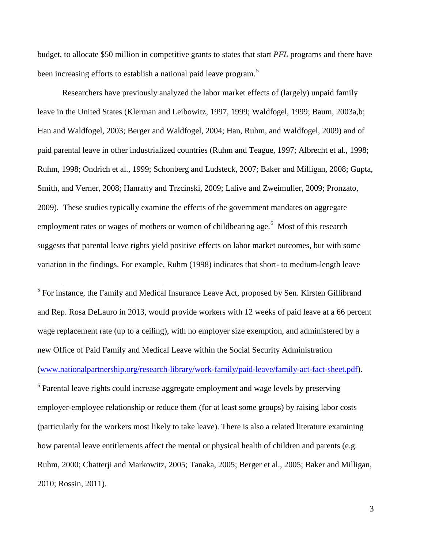budget, to allocate \$50 million in competitive grants to states that start *PFL* programs and there have been increasing efforts to establish a national paid leave program.<sup>[5](#page-4-1)</sup>

Researchers have previously analyzed the labor market effects of (largely) unpaid family leave in the United States (Klerman and Leibowitz, 1997, 1999; Waldfogel, 1999; Baum, 2003a,b; Han and Waldfogel, 2003; Berger and Waldfogel, 2004; Han, Ruhm, and Waldfogel, 2009) and of paid parental leave in other industrialized countries (Ruhm and Teague, 1997; Albrecht et al., 1998; Ruhm, 1998; Ondrich et al., 1999; Schonberg and Ludsteck, 2007; Baker and Milligan, 2008; Gupta, Smith, and Verner, 2008; Hanratty and Trzcinski, 2009; Lalive and Zweimuller, 2009; Pronzato, 2009). These studies typically examine the effects of the government mandates on aggregate employment rates or wages of mothers or women of childbearing age.<sup>[6](#page-5-0)</sup> Most of this research suggests that parental leave rights yield positive effects on labor market outcomes, but with some variation in the findings. For example, Ruhm (1998) indicates that short- to medium-length leave

<sup>5</sup> For instance, the Family and Medical Insurance Leave Act, proposed by Sen. Kirsten Gillibrand and Rep. Rosa DeLauro in 2013, would provide workers with 12 weeks of paid leave at a 66 percent wage replacement rate (up to a ceiling), with no employer size exemption, and administered by a new Office of Paid Family and Medical Leave within the Social Security Administration [\(www.nationalpartnership.org/research-library/work-family/paid-leave/family-act-fact-sheet.pdf\)](http://www.nationalpartnership.org/research-library/work-family/paid-leave/family-act-fact-sheet.pdf).

<span id="page-5-1"></span><span id="page-5-0"></span><sup>6</sup> Parental leave rights could increase aggregate employment and wage levels by preserving employer-employee relationship or reduce them (for at least some groups) by raising labor costs (particularly for the workers most likely to take leave). There is also a related literature examining how parental leave entitlements affect the mental or physical health of children and parents (e.g. Ruhm, 2000; Chatterji and Markowitz, 2005; Tanaka, 2005; Berger et al., 2005; Baker and Milligan, 2010; Rossin, 2011).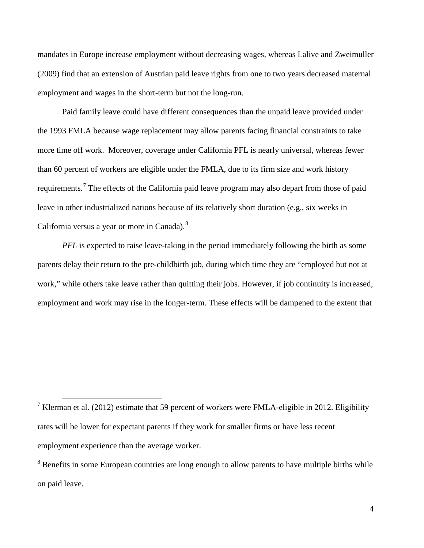mandates in Europe increase employment without decreasing wages, whereas Lalive and Zweimuller (2009) find that an extension of Austrian paid leave rights from one to two years decreased maternal employment and wages in the short-term but not the long-run.

Paid family leave could have different consequences than the unpaid leave provided under the 1993 FMLA because wage replacement may allow parents facing financial constraints to take more time off work. Moreover, coverage under California PFL is nearly universal, whereas fewer than 60 percent of workers are eligible under the FMLA, due to its firm size and work history requirements.<sup>[7](#page-5-1)</sup> The effects of the California paid leave program may also depart from those of paid leave in other industrialized nations because of its relatively short duration (e.g., six weeks in California versus a year or more in Canada).<sup>[8](#page-6-0)</sup>

*PFL* is expected to raise leave-taking in the period immediately following the birth as some parents delay their return to the pre-childbirth job, during which time they are "employed but not at work," while others take leave rather than quitting their jobs. However, if job continuity is increased, employment and work may rise in the longer-term. These effects will be dampened to the extent that

<sup>&</sup>lt;sup>7</sup> Klerman et al. (2012) estimate that 59 percent of workers were FMLA-eligible in 2012. Eligibility rates will be lower for expectant parents if they work for smaller firms or have less recent employment experience than the average worker.

<span id="page-6-1"></span><span id="page-6-0"></span><sup>&</sup>lt;sup>8</sup> Benefits in some European countries are long enough to allow parents to have multiple births while on paid leave.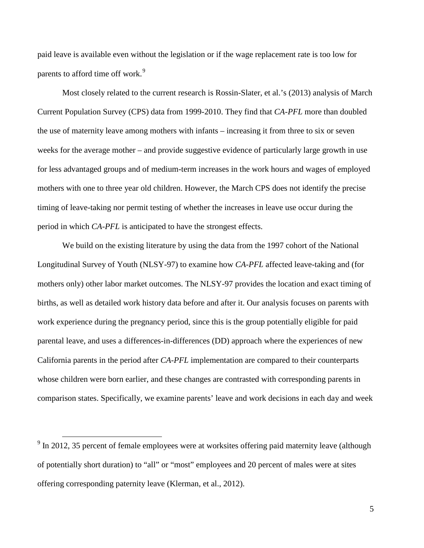paid leave is available even without the legislation or if the wage replacement rate is too low for parents to afford time off work.<sup>[9](#page-6-1)</sup>

Most closely related to the current research is Rossin-Slater, et al.'s (2013) analysis of March Current Population Survey (CPS) data from 1999-2010. They find that *CA-PFL* more than doubled the use of maternity leave among mothers with infants – increasing it from three to six or seven weeks for the average mother – and provide suggestive evidence of particularly large growth in use for less advantaged groups and of medium-term increases in the work hours and wages of employed mothers with one to three year old children. However, the March CPS does not identify the precise timing of leave-taking nor permit testing of whether the increases in leave use occur during the period in which *CA-PFL* is anticipated to have the strongest effects.

We build on the existing literature by using the data from the 1997 cohort of the National Longitudinal Survey of Youth (NLSY-97) to examine how *CA-PFL* affected leave-taking and (for mothers only) other labor market outcomes. The NLSY-97 provides the location and exact timing of births, as well as detailed work history data before and after it. Our analysis focuses on parents with work experience during the pregnancy period, since this is the group potentially eligible for paid parental leave, and uses a differences-in-differences (DD) approach where the experiences of new California parents in the period after *CA-PFL* implementation are compared to their counterparts whose children were born earlier, and these changes are contrasted with corresponding parents in comparison states. Specifically, we examine parents' leave and work decisions in each day and week

<span id="page-7-0"></span> $9$  In 2012, 35 percent of female employees were at worksites offering paid maternity leave (although of potentially short duration) to "all" or "most" employees and 20 percent of males were at sites offering corresponding paternity leave (Klerman, et al., 2012).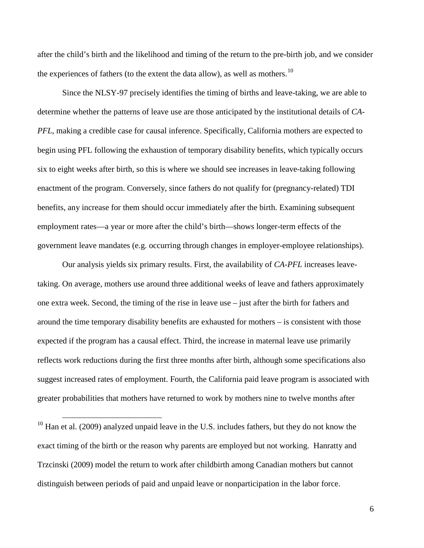after the child's birth and the likelihood and timing of the return to the pre-birth job, and we consider the experiences of fathers (to the extent the data allow), as well as mothers.<sup>[10](#page-7-0)</sup>

Since the NLSY-97 precisely identifies the timing of births and leave-taking, we are able to determine whether the patterns of leave use are those anticipated by the institutional details of *CA-PFL*, making a credible case for causal inference. Specifically, California mothers are expected to begin using PFL following the exhaustion of temporary disability benefits, which typically occurs six to eight weeks after birth, so this is where we should see increases in leave-taking following enactment of the program. Conversely, since fathers do not qualify for (pregnancy-related) TDI benefits, any increase for them should occur immediately after the birth. Examining subsequent employment rates—a year or more after the child's birth—shows longer-term effects of the government leave mandates (e.g. occurring through changes in employer-employee relationships).

Our analysis yields six primary results. First, the availability of *CA-PFL* increases leavetaking. On average, mothers use around three additional weeks of leave and fathers approximately one extra week. Second, the timing of the rise in leave use – just after the birth for fathers and around the time temporary disability benefits are exhausted for mothers – is consistent with those expected if the program has a causal effect. Third, the increase in maternal leave use primarily reflects work reductions during the first three months after birth, although some specifications also suggest increased rates of employment. Fourth, the California paid leave program is associated with greater probabilities that mothers have returned to work by mothers nine to twelve months after

<span id="page-8-0"></span> $10$  Han et al. (2009) analyzed unpaid leave in the U.S. includes fathers, but they do not know the exact timing of the birth or the reason why parents are employed but not working. Hanratty and Trzcinski (2009) model the return to work after childbirth among Canadian mothers but cannot distinguish between periods of paid and unpaid leave or nonparticipation in the labor force.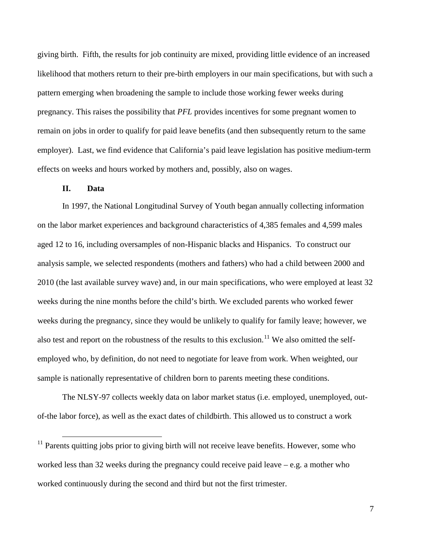giving birth. Fifth, the results for job continuity are mixed, providing little evidence of an increased likelihood that mothers return to their pre-birth employers in our main specifications, but with such a pattern emerging when broadening the sample to include those working fewer weeks during pregnancy. This raises the possibility that *PFL* provides incentives for some pregnant women to remain on jobs in order to qualify for paid leave benefits (and then subsequently return to the same employer). Last, we find evidence that California's paid leave legislation has positive medium-term effects on weeks and hours worked by mothers and, possibly, also on wages.

#### **II. Data**

In 1997, the National Longitudinal Survey of Youth began annually collecting information on the labor market experiences and background characteristics of 4,385 females and 4,599 males aged 12 to 16, including oversamples of non-Hispanic blacks and Hispanics. To construct our analysis sample, we selected respondents (mothers and fathers) who had a child between 2000 and 2010 (the last available survey wave) and, in our main specifications, who were employed at least 32 weeks during the nine months before the child's birth. We excluded parents who worked fewer weeks during the pregnancy, since they would be unlikely to qualify for family leave; however, we also test and report on the robustness of the results to this exclusion.<sup>[11](#page-8-0)</sup> We also omitted the selfemployed who, by definition, do not need to negotiate for leave from work. When weighted, our sample is nationally representative of children born to parents meeting these conditions.

<span id="page-9-0"></span>The NLSY-97 collects weekly data on labor market status (i.e. employed, unemployed, outof-the labor force), as well as the exact dates of childbirth. This allowed us to construct a work

 $11$  Parents quitting jobs prior to giving birth will not receive leave benefits. However, some who worked less than 32 weeks during the pregnancy could receive paid leave – e.g. a mother who worked continuously during the second and third but not the first trimester.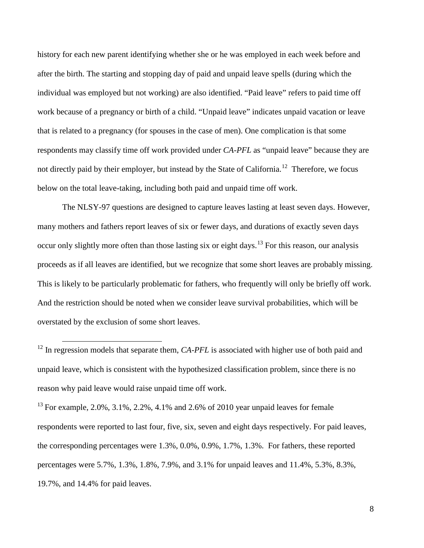history for each new parent identifying whether she or he was employed in each week before and after the birth. The starting and stopping day of paid and unpaid leave spells (during which the individual was employed but not working) are also identified. "Paid leave" refers to paid time off work because of a pregnancy or birth of a child. "Unpaid leave" indicates unpaid vacation or leave that is related to a pregnancy (for spouses in the case of men). One complication is that some respondents may classify time off work provided under *CA-PFL* as "unpaid leave" because they are not directly paid by their employer, but instead by the State of California.<sup>[12](#page-9-0)</sup> Therefore, we focus below on the total leave-taking, including both paid and unpaid time off work.

The NLSY-97 questions are designed to capture leaves lasting at least seven days. However, many mothers and fathers report leaves of six or fewer days, and durations of exactly seven days occur only slightly more often than those lasting six or eight days.<sup>[13](#page-10-0)</sup> For this reason, our analysis proceeds as if all leaves are identified, but we recognize that some short leaves are probably missing. This is likely to be particularly problematic for fathers, who frequently will only be briefly off work. And the restriction should be noted when we consider leave survival probabilities, which will be overstated by the exclusion of some short leaves.

<sup>&</sup>lt;sup>12</sup> In regression models that separate them, *CA-PFL* is associated with higher use of both paid and unpaid leave, which is consistent with the hypothesized classification problem, since there is no reason why paid leave would raise unpaid time off work.

<span id="page-10-0"></span><sup>&</sup>lt;sup>13</sup> For example, 2.0%, 3.1%, 2.2%, 4.1% and 2.6% of 2010 year unpaid leaves for female respondents were reported to last four, five, six, seven and eight days respectively. For paid leaves, the corresponding percentages were 1.3%, 0.0%, 0.9%, 1.7%, 1.3%. For fathers, these reported percentages were 5.7%, 1.3%, 1.8%, 7.9%, and 3.1% for unpaid leaves and 11.4%, 5.3%, 8.3%, 19.7%, and 14.4% for paid leaves.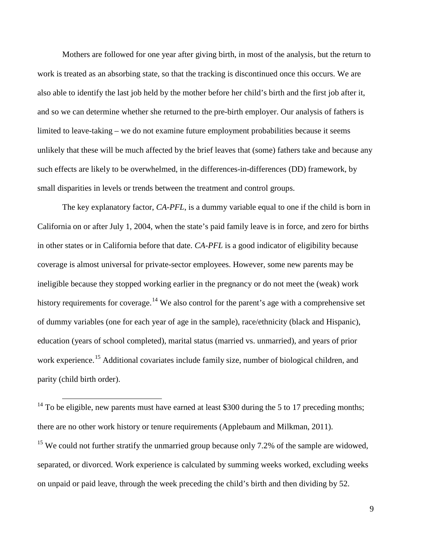Mothers are followed for one year after giving birth, in most of the analysis, but the return to work is treated as an absorbing state, so that the tracking is discontinued once this occurs. We are also able to identify the last job held by the mother before her child's birth and the first job after it, and so we can determine whether she returned to the pre-birth employer. Our analysis of fathers is limited to leave-taking – we do not examine future employment probabilities because it seems unlikely that these will be much affected by the brief leaves that (some) fathers take and because any such effects are likely to be overwhelmed, in the differences-in-differences (DD) framework, by small disparities in levels or trends between the treatment and control groups.

The key explanatory factor, *CA-PFL*, is a dummy variable equal to one if the child is born in California on or after July 1, 2004, when the state's paid family leave is in force, and zero for births in other states or in California before that date. *CA-PFL* is a good indicator of eligibility because coverage is almost universal for private-sector employees. However, some new parents may be ineligible because they stopped working earlier in the pregnancy or do not meet the (weak) work history requirements for coverage.<sup>[14](#page-10-0)</sup> We also control for the parent's age with a comprehensive set of dummy variables (one for each year of age in the sample), race/ethnicity (black and Hispanic), education (years of school completed), marital status (married vs. unmarried), and years of prior work experience.<sup>[15](#page-11-0)</sup> Additional covariates include family size, number of biological children, and parity (child birth order).

<span id="page-11-1"></span><sup>14</sup> To be eligible, new parents must have earned at least \$300 during the 5 to 17 preceding months; there are no other work history or tenure requirements (Applebaum and Milkman, 2011).

<span id="page-11-0"></span><sup>15</sup> We could not further stratify the unmarried group because only 7.2% of the sample are widowed, separated, or divorced. Work experience is calculated by summing weeks worked, excluding weeks on unpaid or paid leave, through the week preceding the child's birth and then dividing by 52.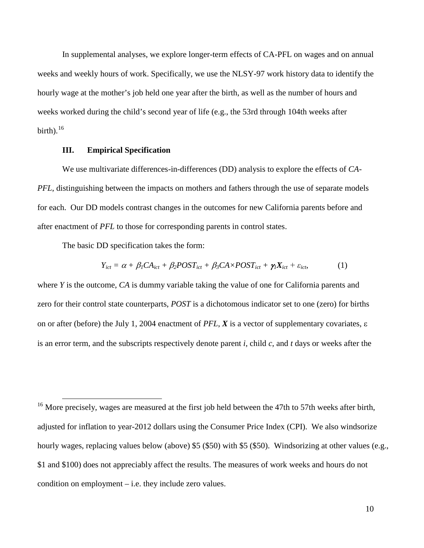In supplemental analyses, we explore longer-term effects of CA-PFL on wages and on annual weeks and weekly hours of work. Specifically, we use the NLSY-97 work history data to identify the hourly wage at the mother's job held one year after the birth, as well as the number of hours and weeks worked during the child's second year of life (e.g., the 53rd through 104th weeks after birth). $^{16}$  $^{16}$  $^{16}$ 

#### **III. Empirical Specification**

We use multivariate differences-in-differences (DD) analysis to explore the effects of *CA-PFL*, distinguishing between the impacts on mothers and fathers through the use of separate models for each. Our DD models contrast changes in the outcomes for new California parents before and after enactment of *PFL* to those for corresponding parents in control states.

The basic DD specification takes the form:

$$
Y_{ict} = \alpha + \beta_1 CA_{ict} + \beta_2 POST_{ict} + \beta_3 C A \times POST_{ict} + \gamma_1 X_{ict} + \varepsilon_{ict},
$$
 (1)

where *Y* is the outcome, *CA* is dummy variable taking the value of one for California parents and zero for their control state counterparts, *POST* is a dichotomous indicator set to one (zero) for births on or after (before) the July 1, 2004 enactment of *PFL*, *X* is a vector of supplementary covariates, ε is an error term, and the subscripts respectively denote parent *i*, child *c*, and *t* days or weeks after the

<span id="page-12-0"></span><sup>&</sup>lt;sup>16</sup> More precisely, wages are measured at the first job held between the 47th to 57th weeks after birth, adjusted for inflation to year-2012 dollars using the Consumer Price Index (CPI). We also windsorize hourly wages, replacing values below (above) \$5 (\$50) with \$5 (\$50). Windsorizing at other values (e.g., \$1 and \$100) does not appreciably affect the results. The measures of work weeks and hours do not condition on employment – i.e. they include zero values.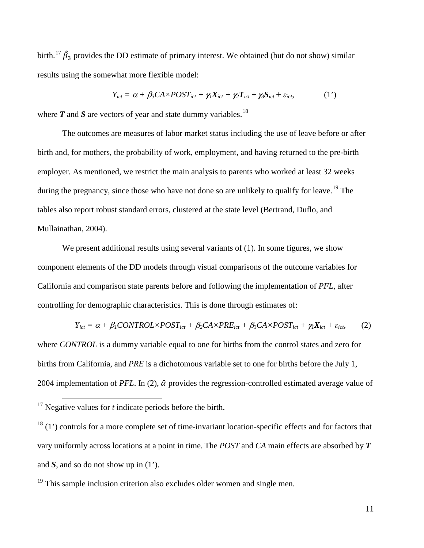birth.<sup>[17](#page-12-0)</sup>  $\hat{\beta}_3$  provides the DD estimate of primary interest. We obtained (but do not show) similar results using the somewhat more flexible model:

$$
Y_{ict} = \alpha + \beta_3 C A \times POST_{ict} + \gamma_1 X_{ict} + \gamma_2 T_{ict} + \gamma_3 S_{ict} + \varepsilon_{ict},
$$
 (1')

where  $T$  and  $S$  are vectors of year and state dummy variables.<sup>[18](#page-13-0)</sup>

The outcomes are measures of labor market status including the use of leave before or after birth and, for mothers, the probability of work, employment, and having returned to the pre-birth employer. As mentioned, we restrict the main analysis to parents who worked at least 32 weeks during the pregnancy, since those who have not done so are unlikely to qualify for leave.<sup>[19](#page-13-1)</sup> The tables also report robust standard errors, clustered at the state level (Bertrand, Duflo, and Mullainathan, 2004).

We present additional results using several variants of (1). In some figures, we show component elements of the DD models through visual comparisons of the outcome variables for California and comparison state parents before and following the implementation of *PFL*, after controlling for demographic characteristics. This is done through estimates of:

$$
Y_{ict} = \alpha + \beta_1 CONTROL \times POST_{ict} + \beta_2 CA \times PRE_{ict} + \beta_3 CA \times POST_{ict} + \gamma_1 X_{ict} + \varepsilon_{ict}
$$
 (2)

where *CONTROL* is a dummy variable equal to one for births from the control states and zero for births from California, and *PRE* is a dichotomous variable set to one for births before the July 1, 2004 implementation of *PFL*. In (2),  $\hat{\alpha}$  provides the regression-controlled estimated average value of

<sup>&</sup>lt;sup>17</sup> Negative values for *t* indicate periods before the birth.

<span id="page-13-0"></span> $18$  (1') controls for a more complete set of time-invariant location-specific effects and for factors that vary uniformly across locations at a point in time. The *POST* and *CA* main effects are absorbed by *T* and *S*, and so do not show up in (1').

<span id="page-13-2"></span><span id="page-13-1"></span> $19$  This sample inclusion criterion also excludes older women and single men.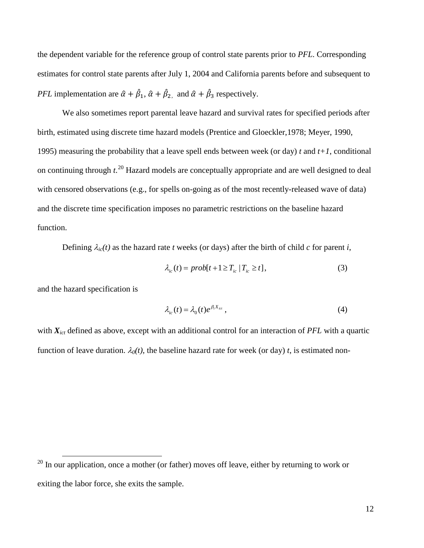the dependent variable for the reference group of control state parents prior to *PFL*. Corresponding estimates for control state parents after July 1, 2004 and California parents before and subsequent to *PFL* implementation are  $\hat{\alpha} + \hat{\beta}_1$ ,  $\hat{\alpha} + \hat{\beta}_2$ , and  $\hat{\alpha} + \hat{\beta}_3$  respectively.

We also sometimes report parental leave hazard and survival rates for specified periods after birth, estimated using discrete time hazard models (Prentice and Gloeckler,1978; Meyer, 1990, 1995) measuring the probability that a leave spell ends between week (or day) *t* and *t+1*, conditional on continuing through *t*. [20](#page-13-2) Hazard models are conceptually appropriate and are well designed to deal with censored observations (e.g., for spells on-going as of the most recently-released wave of data) and the discrete time specification imposes no parametric restrictions on the baseline hazard function.

Defining  $\lambda_{ic}(t)$  as the hazard rate *t* weeks (or days) after the birth of child *c* for parent *i*,

$$
\lambda_{ic}(t) = prob[t+1 \ge T_{ic} | T_{ic} \ge t], \tag{3}
$$

and the hazard specification is

$$
\lambda_{ic}(t) = \lambda_0(t)e^{\beta_t X_{ict}}, \qquad (4)
$$

with  $X_{ict}$  defined as above, except with an additional control for an interaction of *PFL* with a quartic function of leave duration.  $\lambda_0(t)$ , the baseline hazard rate for week (or day) *t*, is estimated non-

<span id="page-14-0"></span> $20$  In our application, once a mother (or father) moves off leave, either by returning to work or exiting the labor force, she exits the sample.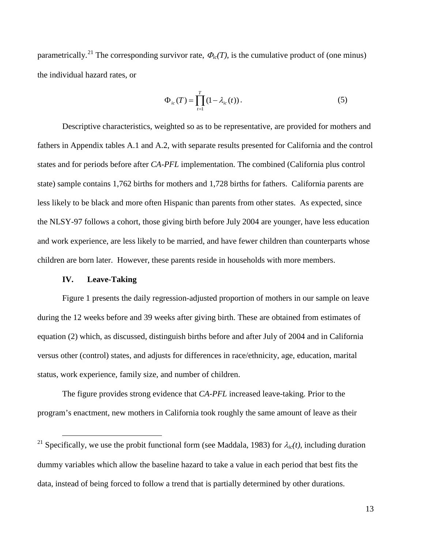parametrically.<sup>[21](#page-14-0)</sup> The corresponding survivor rate,  $\Phi_{ic}(T)$ , is the cumulative product of (one minus) the individual hazard rates, or

$$
\Phi_{ic}(T) = \prod_{t=1}^{T} (1 - \lambda_{ic}(t)).
$$
\n(5)

Descriptive characteristics, weighted so as to be representative, are provided for mothers and fathers in Appendix tables A.1 and A.2, with separate results presented for California and the control states and for periods before after *CA-PFL* implementation. The combined (California plus control state) sample contains 1,762 births for mothers and 1,728 births for fathers. California parents are less likely to be black and more often Hispanic than parents from other states. As expected, since the NLSY-97 follows a cohort, those giving birth before July 2004 are younger, have less education and work experience, are less likely to be married, and have fewer children than counterparts whose children are born later. However, these parents reside in households with more members.

#### **IV. Leave-Taking**

Figure 1 presents the daily regression-adjusted proportion of mothers in our sample on leave during the 12 weeks before and 39 weeks after giving birth. These are obtained from estimates of equation (2) which, as discussed, distinguish births before and after July of 2004 and in California versus other (control) states, and adjusts for differences in race/ethnicity, age, education, marital status, work experience, family size, and number of children.

The figure provides strong evidence that *CA-PFL* increased leave-taking. Prior to the program's enactment, new mothers in California took roughly the same amount of leave as their

<span id="page-15-0"></span><sup>&</sup>lt;sup>21</sup> Specifically, we use the probit functional form (see Maddala, 1983) for  $\lambda_{ic}(t)$ , including duration dummy variables which allow the baseline hazard to take a value in each period that best fits the data, instead of being forced to follow a trend that is partially determined by other durations.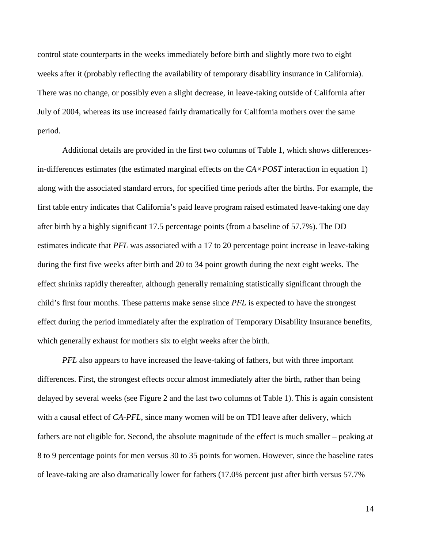control state counterparts in the weeks immediately before birth and slightly more two to eight weeks after it (probably reflecting the availability of temporary disability insurance in California). There was no change, or possibly even a slight decrease, in leave-taking outside of California after July of 2004, whereas its use increased fairly dramatically for California mothers over the same period.

Additional details are provided in the first two columns of Table 1, which shows differencesin-differences estimates (the estimated marginal effects on the *CA×POST* interaction in equation 1) along with the associated standard errors, for specified time periods after the births. For example, the first table entry indicates that California's paid leave program raised estimated leave-taking one day after birth by a highly significant 17.5 percentage points (from a baseline of 57.7%). The DD estimates indicate that *PFL* was associated with a 17 to 20 percentage point increase in leave-taking during the first five weeks after birth and 20 to 34 point growth during the next eight weeks. The effect shrinks rapidly thereafter, although generally remaining statistically significant through the child's first four months. These patterns make sense since *PFL* is expected to have the strongest effect during the period immediately after the expiration of Temporary Disability Insurance benefits, which generally exhaust for mothers six to eight weeks after the birth.

*PFL* also appears to have increased the leave-taking of fathers, but with three important differences. First, the strongest effects occur almost immediately after the birth, rather than being delayed by several weeks (see Figure 2 and the last two columns of Table 1). This is again consistent with a causal effect of *CA-PFL*, since many women will be on TDI leave after delivery, which fathers are not eligible for. Second, the absolute magnitude of the effect is much smaller – peaking at 8 to 9 percentage points for men versus 30 to 35 points for women. However, since the baseline rates of leave-taking are also dramatically lower for fathers (17.0% percent just after birth versus 57.7%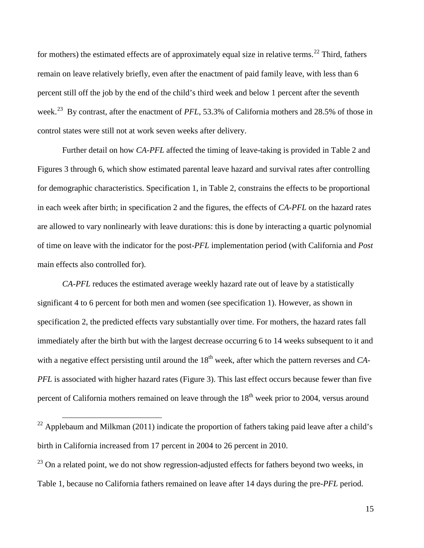for mothers) the estimated effects are of approximately equal size in relative terms.<sup>[22](#page-15-0)</sup> Third, fathers remain on leave relatively briefly, even after the enactment of paid family leave, with less than 6 percent still off the job by the end of the child's third week and below 1 percent after the seventh week.[23](#page-17-0) By contrast, after the enactment of *PFL*, 53.3% of California mothers and 28.5% of those in control states were still not at work seven weeks after delivery.

Further detail on how *CA-PFL* affected the timing of leave-taking is provided in Table 2 and Figures 3 through 6, which show estimated parental leave hazard and survival rates after controlling for demographic characteristics. Specification 1, in Table 2, constrains the effects to be proportional in each week after birth; in specification 2 and the figures, the effects of *CA-PFL* on the hazard rates are allowed to vary nonlinearly with leave durations: this is done by interacting a quartic polynomial of time on leave with the indicator for the post-*PFL* implementation period (with California and *Post* main effects also controlled for).

*CA-PFL* reduces the estimated average weekly hazard rate out of leave by a statistically significant 4 to 6 percent for both men and women (see specification 1). However, as shown in specification 2, the predicted effects vary substantially over time. For mothers, the hazard rates fall immediately after the birth but with the largest decrease occurring 6 to 14 weeks subsequent to it and with a negative effect persisting until around the 18<sup>th</sup> week, after which the pattern reverses and *CA*-*PFL* is associated with higher hazard rates (Figure 3). This last effect occurs because fewer than five percent of California mothers remained on leave through the  $18<sup>th</sup>$  week prior to 2004, versus around

<sup>&</sup>lt;sup>22</sup> Applebaum and Milkman (2011) indicate the proportion of fathers taking paid leave after a child's birth in California increased from 17 percent in 2004 to 26 percent in 2010.

<span id="page-17-1"></span><span id="page-17-0"></span> $^{23}$  On a related point, we do not show regression-adjusted effects for fathers beyond two weeks, in Table 1, because no California fathers remained on leave after 14 days during the pre-*PFL* period.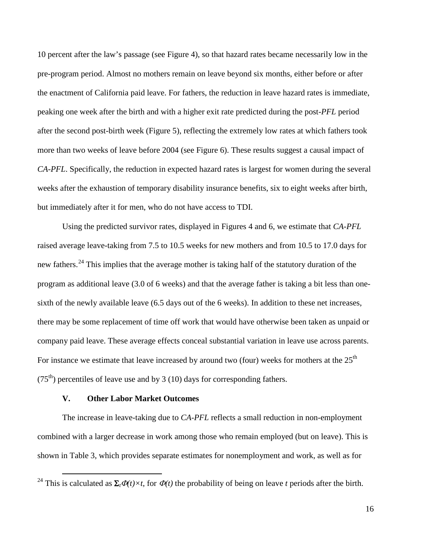10 percent after the law's passage (see Figure 4), so that hazard rates became necessarily low in the pre-program period. Almost no mothers remain on leave beyond six months, either before or after the enactment of California paid leave. For fathers, the reduction in leave hazard rates is immediate, peaking one week after the birth and with a higher exit rate predicted during the post-*PFL* period after the second post-birth week (Figure 5), reflecting the extremely low rates at which fathers took more than two weeks of leave before 2004 (see Figure 6). These results suggest a causal impact of *CA-PFL*. Specifically, the reduction in expected hazard rates is largest for women during the several weeks after the exhaustion of temporary disability insurance benefits, six to eight weeks after birth, but immediately after it for men, who do not have access to TDI.

Using the predicted survivor rates, displayed in Figures 4 and 6, we estimate that *CA-PFL* raised average leave-taking from 7.5 to 10.5 weeks for new mothers and from 10.5 to 17.0 days for new fathers.[24](#page-17-1) This implies that the average mother is taking half of the statutory duration of the program as additional leave (3.0 of 6 weeks) and that the average father is taking a bit less than onesixth of the newly available leave (6.5 days out of the 6 weeks). In addition to these net increases, there may be some replacement of time off work that would have otherwise been taken as unpaid or company paid leave. These average effects conceal substantial variation in leave use across parents. For instance we estimate that leave increased by around two (four) weeks for mothers at the  $25<sup>th</sup>$  $(75<sup>th</sup>)$  percentiles of leave use and by 3 (10) days for corresponding fathers.

#### **V. Other Labor Market Outcomes**

The increase in leave-taking due to *CA-PFL* reflects a small reduction in non-employment combined with a larger decrease in work among those who remain employed (but on leave). This is shown in Table 3, which provides separate estimates for nonemployment and work, as well as for

<span id="page-18-0"></span><sup>&</sup>lt;sup>24</sup> This is calculated as  $\Sigma_t \Phi(t) \times t$ , for  $\Phi(t)$  the probability of being on leave *t* periods after the birth.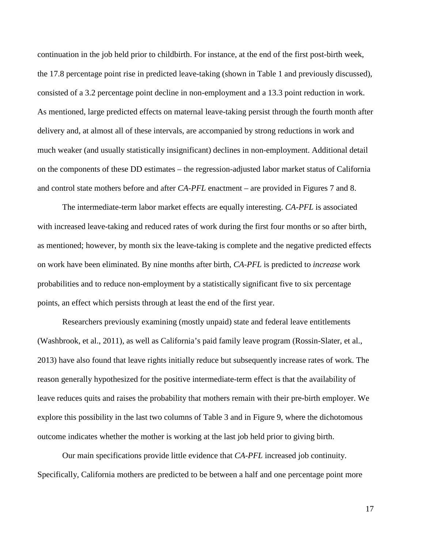continuation in the job held prior to childbirth. For instance, at the end of the first post-birth week, the 17.8 percentage point rise in predicted leave-taking (shown in Table 1 and previously discussed), consisted of a 3.2 percentage point decline in non-employment and a 13.3 point reduction in work. As mentioned, large predicted effects on maternal leave-taking persist through the fourth month after delivery and, at almost all of these intervals, are accompanied by strong reductions in work and much weaker (and usually statistically insignificant) declines in non-employment. Additional detail on the components of these DD estimates – the regression-adjusted labor market status of California and control state mothers before and after *CA-PFL* enactment – are provided in Figures 7 and 8.

The intermediate-term labor market effects are equally interesting. *CA-PFL* is associated with increased leave-taking and reduced rates of work during the first four months or so after birth, as mentioned; however, by month six the leave-taking is complete and the negative predicted effects on work have been eliminated. By nine months after birth, *CA-PFL* is predicted to *increase* work probabilities and to reduce non-employment by a statistically significant five to six percentage points, an effect which persists through at least the end of the first year.

Researchers previously examining (mostly unpaid) state and federal leave entitlements (Washbrook, et al., 2011), as well as California's paid family leave program (Rossin-Slater, et al., 2013) have also found that leave rights initially reduce but subsequently increase rates of work. The reason generally hypothesized for the positive intermediate-term effect is that the availability of leave reduces quits and raises the probability that mothers remain with their pre-birth employer. We explore this possibility in the last two columns of Table 3 and in Figure 9, where the dichotomous outcome indicates whether the mother is working at the last job held prior to giving birth.

Our main specifications provide little evidence that *CA-PFL* increased job continuity. Specifically, California mothers are predicted to be between a half and one percentage point more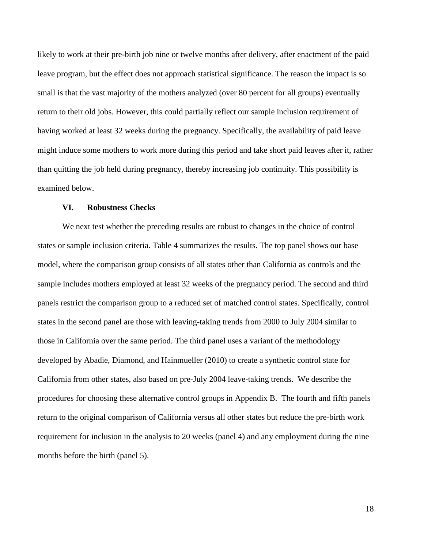likely to work at their pre-birth job nine or twelve months after delivery, after enactment of the paid leave program, but the effect does not approach statistical significance. The reason the impact is so small is that the vast majority of the mothers analyzed (over 80 percent for all groups) eventually return to their old jobs. However, this could partially reflect our sample inclusion requirement of having worked at least 32 weeks during the pregnancy. Specifically, the availability of paid leave might induce some mothers to work more during this period and take short paid leaves after it, rather than quitting the job held during pregnancy, thereby increasing job continuity. This possibility is examined below.

#### **VI. Robustness Checks**

We next test whether the preceding results are robust to changes in the choice of control states or sample inclusion criteria. Table 4 summarizes the results. The top panel shows our base model, where the comparison group consists of all states other than California as controls and the sample includes mothers employed at least 32 weeks of the pregnancy period. The second and third panels restrict the comparison group to a reduced set of matched control states. Specifically, control states in the second panel are those with leaving-taking trends from 2000 to July 2004 similar to those in California over the same period. The third panel uses a variant of the methodology developed by Abadie, Diamond, and Hainmueller (2010) to create a synthetic control state for California from other states, also based on pre-July 2004 leave-taking trends. We describe the procedures for choosing these alternative control groups in Appendix B. The fourth and fifth panels return to the original comparison of California versus all other states but reduce the pre-birth work requirement for inclusion in the analysis to 20 weeks (panel 4) and any employment during the nine months before the birth (panel 5).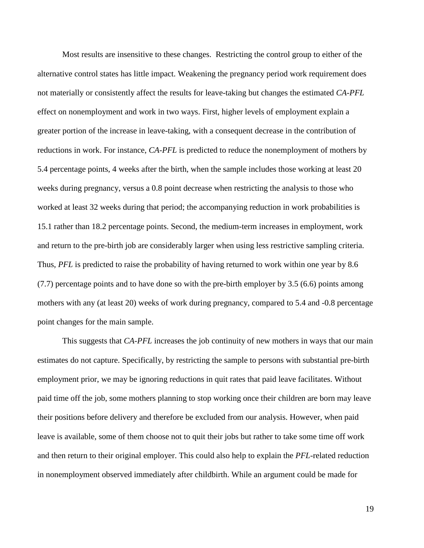Most results are insensitive to these changes. Restricting the control group to either of the alternative control states has little impact. Weakening the pregnancy period work requirement does not materially or consistently affect the results for leave-taking but changes the estimated *CA-PFL* effect on nonemployment and work in two ways. First, higher levels of employment explain a greater portion of the increase in leave-taking, with a consequent decrease in the contribution of reductions in work. For instance, *CA-PFL* is predicted to reduce the nonemployment of mothers by 5.4 percentage points, 4 weeks after the birth, when the sample includes those working at least 20 weeks during pregnancy, versus a 0.8 point decrease when restricting the analysis to those who worked at least 32 weeks during that period; the accompanying reduction in work probabilities is 15.1 rather than 18.2 percentage points. Second, the medium-term increases in employment, work and return to the pre-birth job are considerably larger when using less restrictive sampling criteria. Thus, *PFL* is predicted to raise the probability of having returned to work within one year by 8.6 (7.7) percentage points and to have done so with the pre-birth employer by 3.5 (6.6) points among mothers with any (at least 20) weeks of work during pregnancy, compared to 5.4 and -0.8 percentage point changes for the main sample.

This suggests that *CA-PFL* increases the job continuity of new mothers in ways that our main estimates do not capture. Specifically, by restricting the sample to persons with substantial pre-birth employment prior, we may be ignoring reductions in quit rates that paid leave facilitates. Without paid time off the job, some mothers planning to stop working once their children are born may leave their positions before delivery and therefore be excluded from our analysis. However, when paid leave is available, some of them choose not to quit their jobs but rather to take some time off work and then return to their original employer. This could also help to explain the *PFL*-related reduction in nonemployment observed immediately after childbirth. While an argument could be made for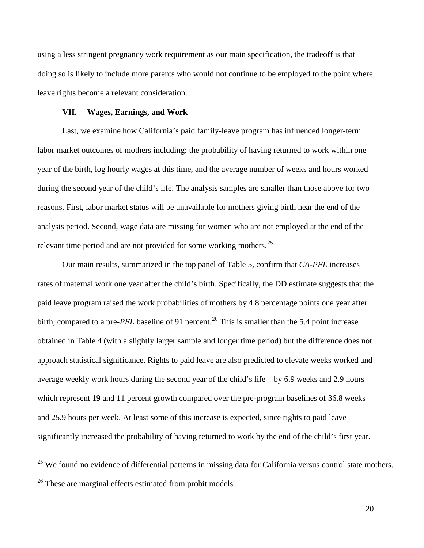using a less stringent pregnancy work requirement as our main specification, the tradeoff is that doing so is likely to include more parents who would not continue to be employed to the point where leave rights become a relevant consideration.

#### **VII. Wages, Earnings, and Work**

Last, we examine how California's paid family-leave program has influenced longer-term labor market outcomes of mothers including: the probability of having returned to work within one year of the birth, log hourly wages at this time, and the average number of weeks and hours worked during the second year of the child's life. The analysis samples are smaller than those above for two reasons. First, labor market status will be unavailable for mothers giving birth near the end of the analysis period. Second, wage data are missing for women who are not employed at the end of the relevant time period and are not provided for some working mothers.<sup>[25](#page-18-0)</sup>

Our main results, summarized in the top panel of Table 5, confirm that *CA-PFL* increases rates of maternal work one year after the child's birth. Specifically, the DD estimate suggests that the paid leave program raised the work probabilities of mothers by 4.8 percentage points one year after birth, compared to a pre-*PFL* baseline of 91 percent.<sup>[26](#page-22-0)</sup> This is smaller than the 5.4 point increase obtained in Table 4 (with a slightly larger sample and longer time period) but the difference does not approach statistical significance. Rights to paid leave are also predicted to elevate weeks worked and average weekly work hours during the second year of the child's life – by 6.9 weeks and 2.9 hours – which represent 19 and 11 percent growth compared over the pre-program baselines of 36.8 weeks and 25.9 hours per week. At least some of this increase is expected, since rights to paid leave significantly increased the probability of having returned to work by the end of the child's first year.

<span id="page-22-1"></span><span id="page-22-0"></span><sup>&</sup>lt;sup>25</sup> We found no evidence of differential patterns in missing data for California versus control state mothers. <sup>26</sup> These are marginal effects estimated from probit models.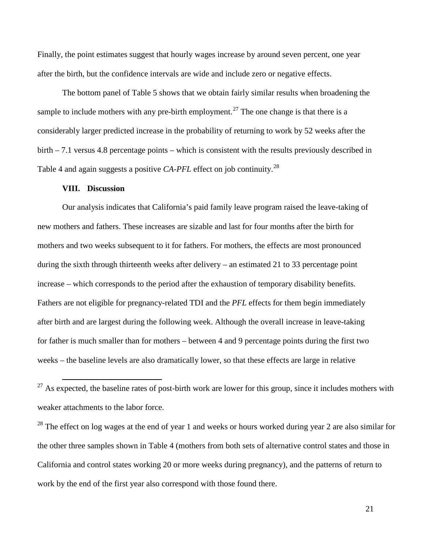Finally, the point estimates suggest that hourly wages increase by around seven percent, one year after the birth, but the confidence intervals are wide and include zero or negative effects.

The bottom panel of Table 5 shows that we obtain fairly similar results when broadening the sample to include mothers with any pre-birth employment.<sup>[27](#page-22-1)</sup> The one change is that there is a considerably larger predicted increase in the probability of returning to work by 52 weeks after the birth – 7.1 versus 4.8 percentage points – which is consistent with the results previously described in Table 4 and again suggests a positive *CA-PFL* effect on job continuity.<sup>[28](#page-23-0)</sup>

#### **VIII. Discussion**

Our analysis indicates that California's paid family leave program raised the leave-taking of new mothers and fathers. These increases are sizable and last for four months after the birth for mothers and two weeks subsequent to it for fathers. For mothers, the effects are most pronounced during the sixth through thirteenth weeks after delivery – an estimated 21 to 33 percentage point increase – which corresponds to the period after the exhaustion of temporary disability benefits. Fathers are not eligible for pregnancy-related TDI and the *PFL* effects for them begin immediately after birth and are largest during the following week. Although the overall increase in leave-taking for father is much smaller than for mothers – between 4 and 9 percentage points during the first two weeks – the baseline levels are also dramatically lower, so that these effects are large in relative

<span id="page-23-1"></span><span id="page-23-0"></span><sup>28</sup> The effect on log wages at the end of year 1 and weeks or hours worked during year 2 are also similar for the other three samples shown in Table 4 (mothers from both sets of alternative control states and those in California and control states working 20 or more weeks during pregnancy), and the patterns of return to work by the end of the first year also correspond with those found there.

 $27$  As expected, the baseline rates of post-birth work are lower for this group, since it includes mothers with weaker attachments to the labor force.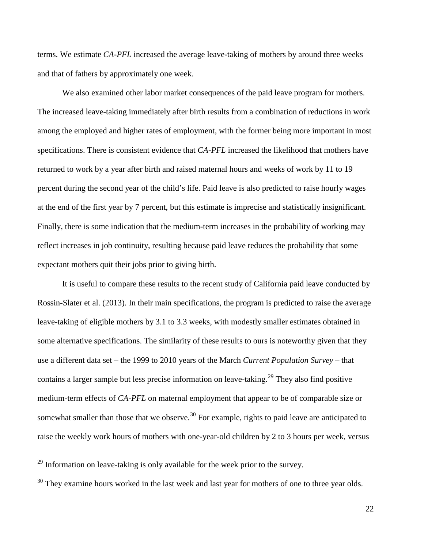terms. We estimate *CA-PFL* increased the average leave-taking of mothers by around three weeks and that of fathers by approximately one week.

We also examined other labor market consequences of the paid leave program for mothers. The increased leave-taking immediately after birth results from a combination of reductions in work among the employed and higher rates of employment, with the former being more important in most specifications. There is consistent evidence that *CA-PFL* increased the likelihood that mothers have returned to work by a year after birth and raised maternal hours and weeks of work by 11 to 19 percent during the second year of the child's life. Paid leave is also predicted to raise hourly wages at the end of the first year by 7 percent, but this estimate is imprecise and statistically insignificant. Finally, there is some indication that the medium-term increases in the probability of working may reflect increases in job continuity, resulting because paid leave reduces the probability that some expectant mothers quit their jobs prior to giving birth.

It is useful to compare these results to the recent study of California paid leave conducted by Rossin-Slater et al. (2013). In their main specifications, the program is predicted to raise the average leave-taking of eligible mothers by 3.1 to 3.3 weeks, with modestly smaller estimates obtained in some alternative specifications. The similarity of these results to ours is noteworthy given that they use a different data set – the 1999 to 2010 years of the March *Current Population Survey* – that contains a larger sample but less precise information on leave-taking.<sup>[29](#page-23-1)</sup> They also find positive medium-term effects of *CA-PFL* on maternal employment that appear to be of comparable size or somewhat smaller than those that we observe.<sup>[30](#page-24-0)</sup> For example, rights to paid leave are anticipated to raise the weekly work hours of mothers with one-year-old children by 2 to 3 hours per week, versus

<span id="page-24-1"></span> $29$  Information on leave-taking is only available for the week prior to the survey.

<span id="page-24-0"></span> $30$  They examine hours worked in the last week and last year for mothers of one to three year olds.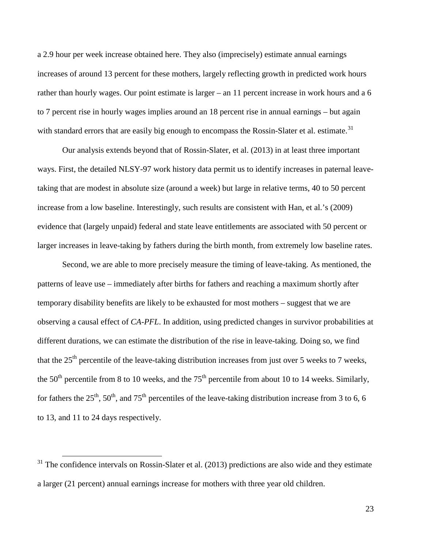a 2.9 hour per week increase obtained here. They also (imprecisely) estimate annual earnings increases of around 13 percent for these mothers, largely reflecting growth in predicted work hours rather than hourly wages. Our point estimate is larger – an 11 percent increase in work hours and a 6 to 7 percent rise in hourly wages implies around an 18 percent rise in annual earnings – but again with standard errors that are easily big enough to encompass the Rossin-Slater et al. estimate.<sup>[31](#page-24-1)</sup>

Our analysis extends beyond that of Rossin-Slater, et al. (2013) in at least three important ways. First, the detailed NLSY-97 work history data permit us to identify increases in paternal leavetaking that are modest in absolute size (around a week) but large in relative terms, 40 to 50 percent increase from a low baseline. Interestingly, such results are consistent with Han, et al.'s (2009) evidence that (largely unpaid) federal and state leave entitlements are associated with 50 percent or larger increases in leave-taking by fathers during the birth month, from extremely low baseline rates.

Second, we are able to more precisely measure the timing of leave-taking. As mentioned, the patterns of leave use – immediately after births for fathers and reaching a maximum shortly after temporary disability benefits are likely to be exhausted for most mothers – suggest that we are observing a causal effect of *CA-PFL*. In addition, using predicted changes in survivor probabilities at different durations, we can estimate the distribution of the rise in leave-taking. Doing so, we find that the  $25<sup>th</sup>$  percentile of the leave-taking distribution increases from just over 5 weeks to 7 weeks, the  $50<sup>th</sup>$  percentile from 8 to 10 weeks, and the  $75<sup>th</sup>$  percentile from about 10 to 14 weeks. Similarly, for fathers the 25<sup>th</sup>, 50<sup>th</sup>, and 75<sup>th</sup> percentiles of the leave-taking distribution increase from 3 to 6, 6 to 13, and 11 to 24 days respectively.

<span id="page-25-0"></span> $31$  The confidence intervals on Rossin-Slater et al. (2013) predictions are also wide and they estimate a larger (21 percent) annual earnings increase for mothers with three year old children.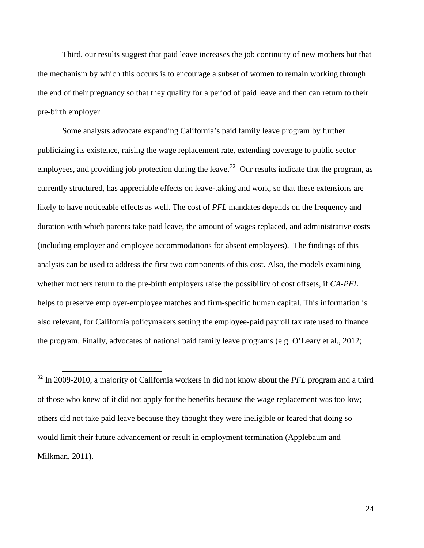Third, our results suggest that paid leave increases the job continuity of new mothers but that the mechanism by which this occurs is to encourage a subset of women to remain working through the end of their pregnancy so that they qualify for a period of paid leave and then can return to their pre-birth employer.

Some analysts advocate expanding California's paid family leave program by further publicizing its existence, raising the wage replacement rate, extending coverage to public sector employees, and providing job protection during the leave.<sup>[32](#page-25-0)</sup> Our results indicate that the program, as currently structured, has appreciable effects on leave-taking and work, so that these extensions are likely to have noticeable effects as well. The cost of *PFL* mandates depends on the frequency and duration with which parents take paid leave, the amount of wages replaced, and administrative costs (including employer and employee accommodations for absent employees). The findings of this analysis can be used to address the first two components of this cost. Also, the models examining whether mothers return to the pre-birth employers raise the possibility of cost offsets, if *CA-PFL* helps to preserve employer-employee matches and firm-specific human capital. This information is also relevant, for California policymakers setting the employee-paid payroll tax rate used to finance the program. Finally, advocates of national paid family leave programs (e.g. O'Leary et al., 2012;

 <sup>32</sup> In 2009-2010, a majority of California workers in did not know about the *PFL* program and a third of those who knew of it did not apply for the benefits because the wage replacement was too low; others did not take paid leave because they thought they were ineligible or feared that doing so would limit their future advancement or result in employment termination (Applebaum and Milkman, 2011).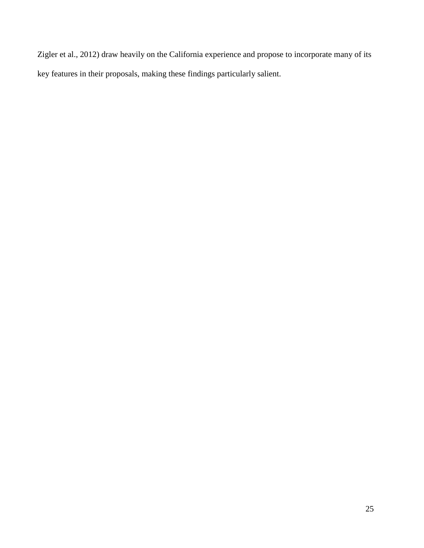Zigler et al., 2012) draw heavily on the California experience and propose to incorporate many of its key features in their proposals, making these findings particularly salient.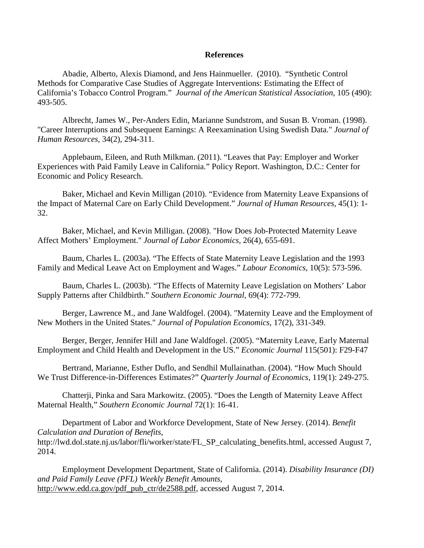#### **References**

Abadie, Alberto, Alexis Diamond, and Jens Hainmueller. (2010). "Synthetic Control Methods for Comparative Case Studies of Aggregate Interventions: Estimating the Effect of California's Tobacco Control Program." *Journal of the American Statistical Association*, 105 (490): 493-505.

Albrecht, James W., Per-Anders Edin, Marianne Sundstrom, and Susan B. Vroman. (1998). "Career Interruptions and Subsequent Earnings: A Reexamination Using Swedish Data." *Journal of Human Resources,* 34(2), 294-311.

Applebaum, Eileen, and Ruth Milkman. (2011). "Leaves that Pay: Employer and Worker Experiences with Paid Family Leave in California." Policy Report. Washington, D.C.: Center for Economic and Policy Research.

Baker, Michael and Kevin Milligan (2010). "Evidence from Maternity Leave Expansions of the Impact of Maternal Care on Early Child Development." *Journal of Human Resources*, 45(1): 1- 32.

Baker, Michael, and Kevin Milligan. (2008). "How Does Job-Protected Maternity Leave Affect Mothers' Employment." *Journal of Labor Economics,* 26(4), 655-691.

Baum, Charles L. (2003a). "The Effects of State Maternity Leave Legislation and the 1993 Family and Medical Leave Act on Employment and Wages." *Labour Economics*, 10(5): 573-596.

Baum, Charles L. (2003b). "The Effects of Maternity Leave Legislation on Mothers' Labor Supply Patterns after Childbirth." *Southern Economic Journal*, 69(4): 772-799.

Berger, Lawrence M., and Jane Waldfogel. (2004). "Maternity Leave and the Employment of New Mothers in the United States." *Journal of Population Economics,* 17(2), 331-349.

Berger, Berger, Jennifer Hill and Jane Waldfogel. (2005). "Maternity Leave, Early Maternal Employment and Child Health and Development in the US." *Economic Journal* 115(501): F29-F47

Bertrand, Marianne, Esther Duflo, and Sendhil Mullainathan. (2004). "How Much Should We Trust Difference-in-Differences Estimates?" *Quarterly Journal of Economics*, 119(1): 249-275.

Chatterji, Pinka and Sara Markowitz. (2005). "Does the Length of Maternity Leave Affect Maternal Health," *Southern Economic Journal* 72(1): 16-41.

Department of Labor and Workforce Development, State of New Jersey. (2014). *Benefit Calculation and Duration of Benefits*, http://lwd.dol.state.nj.us/labor/fli/worker/state/FL\_SP\_calculating\_benefits.html, accessed August 7, 2014.

Employment Development Department, State of California. (2014). *Disability Insurance (DI) and Paid Family Leave (PFL) Weekly Benefit Amounts*, [http://www.edd.ca.gov/pdf\\_pub\\_ctr/de2588.pdf,](http://www.edd.ca.gov/pdf_pub_ctr/de2588.pdf) accessed August 7, 2014.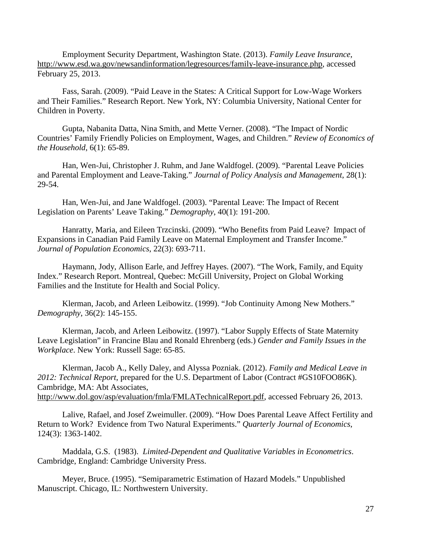Employment Security Department, Washington State. (2013). *Family Leave Insurance*, [http://www.esd.wa.gov/newsandinformation/legresources/family-leave-insurance.php,](http://www.esd.wa.gov/newsandinformation/legresources/family-leave-insurance.php) accessed February 25, 2013.

Fass, Sarah. (2009). "Paid Leave in the States: A Critical Support for Low-Wage Workers and Their Families." Research Report. New York, NY: Columbia University, National Center for Children in Poverty.

Gupta, Nabanita Datta, Nina Smith, and Mette Verner. (2008). "The Impact of Nordic Countries' Family Friendly Policies on Employment, Wages, and Children." *Review of Economics of the Household*, 6(1): 65-89.

Han, Wen-Jui, Christopher J. Ruhm, and Jane Waldfogel. (2009). "Parental Leave Policies and Parental Employment and Leave-Taking." *Journal of Policy Analysis and Management*, 28(1): 29-54.

Han, Wen-Jui, and Jane Waldfogel. (2003). "Parental Leave: The Impact of Recent Legislation on Parents' Leave Taking." *Demography*, 40(1): 191-200.

Hanratty, Maria, and Eileen Trzcinski. (2009). "Who Benefits from Paid Leave? Impact of Expansions in Canadian Paid Family Leave on Maternal Employment and Transfer Income." *Journal of Population Economics*, 22(3): 693-711.

Haymann, Jody, Allison Earle, and Jeffrey Hayes. (2007). "The Work, Family, and Equity Index." Research Report. Montreal, Quebec: McGill University, Project on Global Working Families and the Institute for Health and Social Policy.

Klerman, Jacob, and Arleen Leibowitz. (1999). "Job Continuity Among New Mothers." *Demography*, 36(2): 145-155.

Klerman, Jacob, and Arleen Leibowitz. (1997). "Labor Supply Effects of State Maternity Leave Legislation" in Francine Blau and Ronald Ehrenberg (eds.) *Gender and Family Issues in the Workplace*. New York: Russell Sage: 65-85.

Klerman, Jacob A., Kelly Daley, and Alyssa Pozniak. (2012). *Family and Medical Leave in 2012: Technical Report*, prepared for the U.S. Department of Labor (Contract #GS10FOO86K). Cambridge, MA: Abt Associates, [http://www.dol.gov/asp/evaluation/fmla/FMLATechnicalReport.pdf,](http://www.dol.gov/asp/evaluation/fmla/FMLATechnicalReport.pdf) accessed February 26, 2013.

Lalive, Rafael, and Josef Zweimuller. (2009). "How Does Parental Leave Affect Fertility and Return to Work? Evidence from Two Natural Experiments." *Quarterly Journal of Economics*, 124(3): 1363-1402.

Maddala, G.S. (1983). *Limited-Dependent and Qualitative Variables in Econometrics*. Cambridge, England: Cambridge University Press.

Meyer, Bruce. (1995). "Semiparametric Estimation of Hazard Models." Unpublished Manuscript. Chicago, IL: Northwestern University.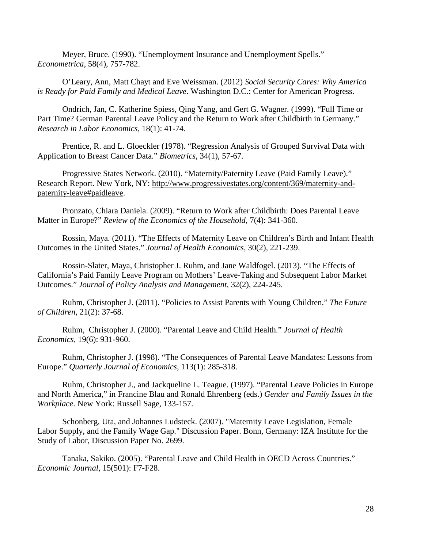Meyer, Bruce. (1990). "Unemployment Insurance and Unemployment Spells." *Econometrica*, 58(4), 757-782.

O'Leary, Ann, Matt Chayt and Eve Weissman. (2012) *Social Security Cares: Why America is Ready for Paid Family and Medical Leave*. Washington D.C.: Center for American Progress.

Ondrich, Jan, C. Katherine Spiess, Qing Yang, and Gert G. Wagner. (1999). "Full Time or Part Time? German Parental Leave Policy and the Return to Work after Childbirth in Germany." *Research in Labor Economics*, 18(1): 41-74.

Prentice, R. and L. Gloeckler (1978). "Regression Analysis of Grouped Survival Data with Application to Breast Cancer Data." *Biometrics*, 34(1), 57-67.

Progressive States Network. (2010). "Maternity/Paternity Leave (Paid Family Leave)." Research Report. New York, NY: [http://www.progressivestates.org/content/369/maternity-and](http://www.progressivestates.org/content/369/maternity-and-paternity-leave#paidleave)[paternity-leave#paidleave.](http://www.progressivestates.org/content/369/maternity-and-paternity-leave#paidleave)

Pronzato, Chiara Daniela. (2009). "Return to Work after Childbirth: Does Parental Leave Matter in Europe?" *Review of the Economics of the Household*, 7(4): 341-360.

Rossin, Maya. (2011). "The Effects of Maternity Leave on Children's Birth and Infant Health Outcomes in the United States." *Journal of Health Economics*, 30(2), 221-239.

Rossin-Slater, Maya, Christopher J. Ruhm, and Jane Waldfogel. (2013). "The Effects of California's Paid Family Leave Program on Mothers' Leave-Taking and Subsequent Labor Market Outcomes." *Journal of Policy Analysis and Management*, 32(2), 224-245.

Ruhm, Christopher J. (2011). "Policies to Assist Parents with Young Children." *The Future of Children*, 21(2): 37-68.

Ruhm, Christopher J. (2000). "Parental Leave and Child Health." *Journal of Health Economics,* 19(6): 931-960.

Ruhm, Christopher J. (1998). "The Consequences of Parental Leave Mandates: Lessons from Europe." *Quarterly Journal of Economics*, 113(1): 285-318.

Ruhm, Christopher J., and Jackqueline L. Teague. (1997). "Parental Leave Policies in Europe and North America," in Francine Blau and Ronald Ehrenberg (eds.) *Gender and Family Issues in the Workplace*. New York: Russell Sage, 133-157.

Schonberg, Uta, and Johannes Ludsteck. (2007). "Maternity Leave Legislation, Female Labor Supply, and the Family Wage Gap." Discussion Paper. Bonn, Germany: IZA Institute for the Study of Labor, Discussion Paper No. 2699.

Tanaka, Sakiko. (2005). "Parental Leave and Child Health in OECD Across Countries." *Economic Journal,* 15(501): F7-F28.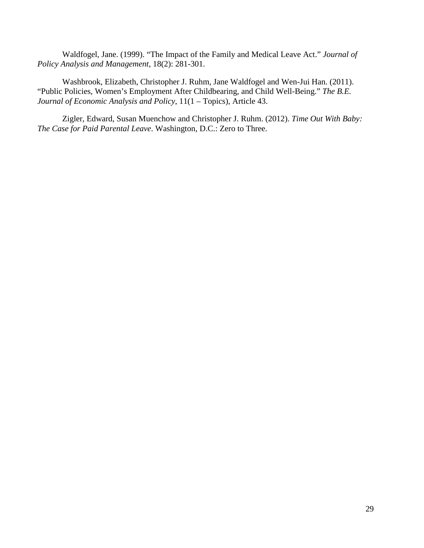Waldfogel, Jane. (1999). "The Impact of the Family and Medical Leave Act." *Journal of Policy Analysis and Management*, 18(2): 281-301.

Washbrook, Elizabeth, Christopher J. Ruhm, Jane Waldfogel and Wen-Jui Han. (2011). "Public Policies, Women's Employment After Childbearing, and Child Well-Being." *The B.E. Journal of Economic Analysis and Policy*, 11(1 – Topics), Article 43.

Zigler, Edward, Susan Muenchow and Christopher J. Ruhm. (2012). *Time Out With Baby: The Case for Paid Parental Leave*. Washington, D.C.: Zero to Three.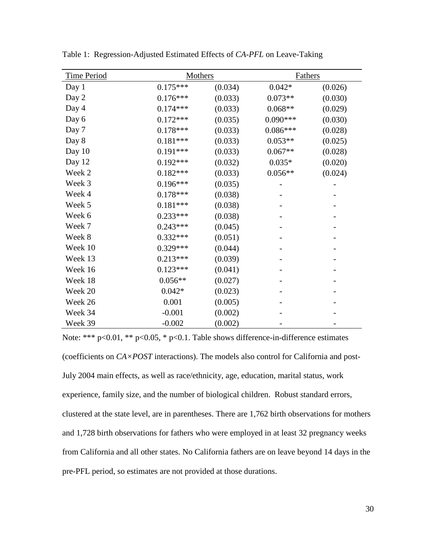| <b>Time Period</b> | <b>Mothers</b> |         | <b>Fathers</b> |         |  |
|--------------------|----------------|---------|----------------|---------|--|
| Day 1              | $0.175***$     | (0.034) | $0.042*$       | (0.026) |  |
| Day 2              | $0.176***$     | (0.033) | $0.073**$      | (0.030) |  |
| Day 4              | $0.174***$     | (0.033) | $0.068**$      | (0.029) |  |
| Day 6              | $0.172***$     | (0.035) | $0.090***$     | (0.030) |  |
| Day 7              | $0.178***$     | (0.033) | $0.086***$     | (0.028) |  |
| Day 8              | $0.181***$     | (0.033) | $0.053**$      | (0.025) |  |
| Day 10             | $0.191***$     | (0.033) | $0.067**$      | (0.028) |  |
| Day 12             | $0.192***$     | (0.032) | $0.035*$       | (0.020) |  |
| Week 2             | $0.182***$     | (0.033) | $0.056**$      | (0.024) |  |
| Week 3             | $0.196***$     | (0.035) |                |         |  |
| Week 4             | $0.178***$     | (0.038) |                |         |  |
| Week 5             | $0.181***$     | (0.038) |                |         |  |
| Week 6             | $0.233***$     | (0.038) |                |         |  |
| Week 7             | $0.243***$     | (0.045) |                |         |  |
| Week 8             | $0.332***$     | (0.051) |                |         |  |
| Week 10            | $0.329***$     | (0.044) |                |         |  |
| Week 13            | $0.213***$     | (0.039) |                |         |  |
| Week 16            | $0.123***$     | (0.041) |                |         |  |
| Week 18            | $0.056**$      | (0.027) |                |         |  |
| Week 20            | $0.042*$       | (0.023) |                |         |  |
| Week 26            | 0.001          | (0.005) |                |         |  |
| Week 34            | $-0.001$       | (0.002) |                |         |  |
| Week 39            | $-0.002$       | (0.002) |                |         |  |

Table 1: Regression-Adjusted Estimated Effects of *CA-PFL* on Leave-Taking

Note: \*\*\* p<0.01, \*\* p<0.05, \* p<0.1. Table shows difference-in-difference estimates (coefficients on *CA×POST* interactions). The models also control for California and post-July 2004 main effects, as well as race/ethnicity, age, education, marital status, work experience, family size, and the number of biological children. Robust standard errors, clustered at the state level, are in parentheses. There are 1,762 birth observations for mothers and 1,728 birth observations for fathers who were employed in at least 32 pregnancy weeks from California and all other states. No California fathers are on leave beyond 14 days in the pre-PFL period, so estimates are not provided at those durations.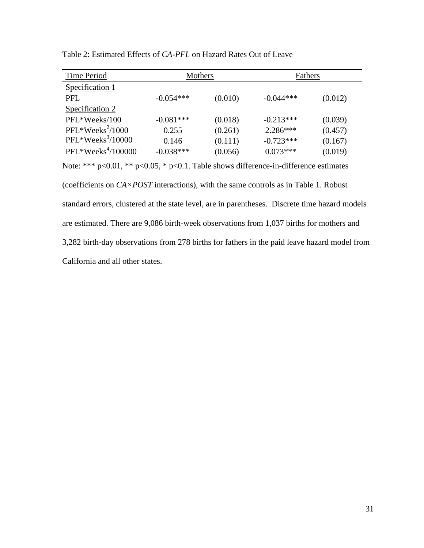| Time Period         | Mothers     |         | Fathers     |         |  |  |
|---------------------|-------------|---------|-------------|---------|--|--|
| Specification 1     |             |         |             |         |  |  |
| PFL.                | $-0.054***$ | (0.010) | $-0.044***$ | (0.012) |  |  |
| Specification 2     |             |         |             |         |  |  |
| PFL*Weeks/100       | $-0.081***$ | (0.018) | $-0.213***$ | (0.039) |  |  |
| $PFL*Weeks2/1000$   | 0.255       | (0.261) | $2.286***$  | (0.457) |  |  |
| $PFL*Weeks3/10000$  | 0.146       | (0.111) | $-0.723***$ | (0.167) |  |  |
| $PFL*Weeks4/100000$ | $-0.038***$ | (0.056) | $0.073***$  | (0.019) |  |  |

Table 2: Estimated Effects of *CA-PFL* on Hazard Rates Out of Leave

Note: \*\*\* p<0.01, \*\* p<0.05, \* p<0.1. Table shows difference-in-difference estimates (coefficients on *CA×POST* interactions), with the same controls as in Table 1. Robust standard errors, clustered at the state level, are in parentheses. Discrete time hazard models are estimated. There are 9,086 birth-week observations from 1,037 births for mothers and 3,282 birth-day observations from 278 births for fathers in the paid leave hazard model from California and all other states.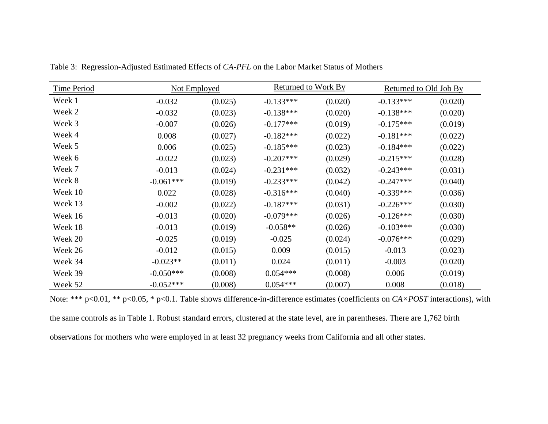| <b>Time Period</b> |             | Not Employed |             | Returned to Work By |             | Returned to Old Job By |  |  |
|--------------------|-------------|--------------|-------------|---------------------|-------------|------------------------|--|--|
| Week 1             | $-0.032$    | (0.025)      | $-0.133***$ | (0.020)             | $-0.133***$ | (0.020)                |  |  |
| Week 2             | $-0.032$    | (0.023)      | $-0.138***$ | (0.020)             | $-0.138***$ | (0.020)                |  |  |
| Week 3             | $-0.007$    | (0.026)      | $-0.177***$ | (0.019)             | $-0.175***$ | (0.019)                |  |  |
| Week 4             | 0.008       | (0.027)      | $-0.182***$ | (0.022)             | $-0.181***$ | (0.022)                |  |  |
| Week 5             | 0.006       | (0.025)      | $-0.185***$ | (0.023)             | $-0.184***$ | (0.022)                |  |  |
| Week 6             | $-0.022$    | (0.023)      | $-0.207***$ | (0.029)             | $-0.215***$ | (0.028)                |  |  |
| Week 7             | $-0.013$    | (0.024)      | $-0.231***$ | (0.032)             | $-0.243***$ | (0.031)                |  |  |
| Week 8             | $-0.061***$ | (0.019)      | $-0.233***$ | (0.042)             | $-0.247***$ | (0.040)                |  |  |
| Week 10            | 0.022       | (0.028)      | $-0.316***$ | (0.040)             | $-0.339***$ | (0.036)                |  |  |
| Week 13            | $-0.002$    | (0.022)      | $-0.187***$ | (0.031)             | $-0.226***$ | (0.030)                |  |  |
| Week 16            | $-0.013$    | (0.020)      | $-0.079***$ | (0.026)             | $-0.126***$ | (0.030)                |  |  |
| Week 18            | $-0.013$    | (0.019)      | $-0.058**$  | (0.026)             | $-0.103***$ | (0.030)                |  |  |
| Week 20            | $-0.025$    | (0.019)      | $-0.025$    | (0.024)             | $-0.076***$ | (0.029)                |  |  |
| Week 26            | $-0.012$    | (0.015)      | 0.009       | (0.015)             | $-0.013$    | (0.023)                |  |  |
| Week 34            | $-0.023**$  | (0.011)      | 0.024       | (0.011)             | $-0.003$    | (0.020)                |  |  |
| Week 39            | $-0.050***$ | (0.008)      | $0.054***$  | (0.008)             | 0.006       | (0.019)                |  |  |
| Week 52            | $-0.052***$ | (0.008)      | $0.054***$  | (0.007)             | 0.008       | (0.018)                |  |  |

Table 3: Regression-Adjusted Estimated Effects of *CA-PFL* on the Labor Market Status of Mothers

Note: \*\*\* p<0.01, \*\* p<0.05, \* p<0.1. Table shows difference-in-difference estimates (coefficients on *CA×POST* interactions), with the same controls as in Table 1. Robust standard errors, clustered at the state level, are in parentheses. There are 1,762 birth observations for mothers who were employed in at least 32 pregnancy weeks from California and all other states.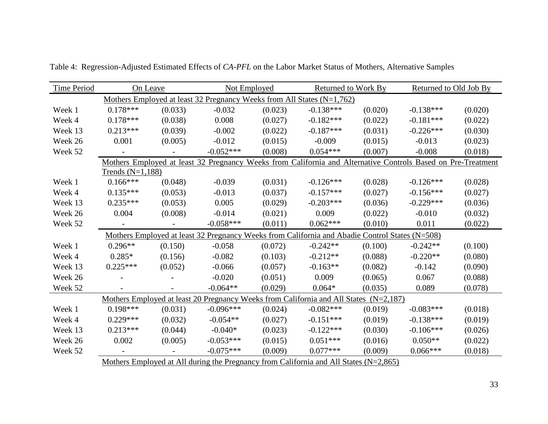| <b>Time Period</b> | On Leave                                                                              |         | Not Employed |         | <b>Returned to Work By</b>                                                                                   |         | Returned to Old Job By |         |  |
|--------------------|---------------------------------------------------------------------------------------|---------|--------------|---------|--------------------------------------------------------------------------------------------------------------|---------|------------------------|---------|--|
|                    |                                                                                       |         |              |         | Mothers Employed at least 32 Pregnancy Weeks from All States $(N=1,762)$                                     |         |                        |         |  |
| Week 1             | $0.178***$                                                                            | (0.033) | $-0.032$     | (0.023) | $-0.138***$                                                                                                  | (0.020) | $-0.138***$            | (0.020) |  |
| Week 4             | $0.178***$                                                                            | (0.038) | 0.008        | (0.027) | $-0.182***$                                                                                                  | (0.022) | $-0.181***$            | (0.022) |  |
| Week 13            | $0.213***$                                                                            | (0.039) | $-0.002$     | (0.022) | $-0.187***$                                                                                                  | (0.031) | $-0.226***$            | (0.030) |  |
| Week 26            | 0.001                                                                                 | (0.005) | $-0.012$     | (0.015) | $-0.009$                                                                                                     | (0.015) | $-0.013$               | (0.023) |  |
| Week 52            |                                                                                       |         | $-0.052***$  | (0.008) | $0.054***$                                                                                                   | (0.007) | $-0.008$               | (0.018) |  |
|                    |                                                                                       |         |              |         | Mothers Employed at least 32 Pregnancy Weeks from California and Alternative Controls Based on Pre-Treatment |         |                        |         |  |
|                    | Trends $(N=1,188)$                                                                    |         |              |         |                                                                                                              |         |                        |         |  |
| Week 1             | $0.166***$                                                                            | (0.048) | $-0.039$     | (0.031) | $-0.126***$                                                                                                  | (0.028) | $-0.126***$            | (0.028) |  |
| Week 4             | $0.135***$                                                                            | (0.053) | $-0.013$     | (0.037) | $-0.157***$                                                                                                  | (0.027) | $-0.156***$            | (0.027) |  |
| Week 13            | $0.235***$                                                                            | (0.053) | 0.005        | (0.029) | $-0.203***$                                                                                                  | (0.036) | $-0.229***$            | (0.036) |  |
| Week 26            | 0.004                                                                                 | (0.008) | $-0.014$     | (0.021) | 0.009                                                                                                        | (0.022) | $-0.010$               | (0.032) |  |
| Week 52            |                                                                                       |         | $-0.058***$  | (0.011) | $0.062***$                                                                                                   | (0.010) | 0.011                  | (0.022) |  |
|                    |                                                                                       |         |              |         | Mothers Employed at least 32 Pregnancy Weeks from California and Abadie Control States (N=508)               |         |                        |         |  |
| Week 1             | $0.296**$                                                                             | (0.150) | $-0.058$     | (0.072) | $-0.242**$                                                                                                   | (0.100) | $-0.242**$             | (0.100) |  |
| Week 4             | $0.285*$                                                                              | (0.156) | $-0.082$     | (0.103) | $-0.212**$                                                                                                   | (0.088) | $-0.220**$             | (0.080) |  |
| Week 13            | $0.225***$                                                                            | (0.052) | $-0.066$     | (0.057) | $-0.163**$                                                                                                   | (0.082) | $-0.142$               | (0.090) |  |
| Week 26            |                                                                                       |         | $-0.020$     | (0.051) | 0.009                                                                                                        | (0.065) | 0.067                  | (0.088) |  |
| Week 52            |                                                                                       |         | $-0.064**$   | (0.029) | $0.064*$                                                                                                     | (0.035) | 0.089                  | (0.078) |  |
|                    |                                                                                       |         |              |         | Mothers Employed at least 20 Pregnancy Weeks from California and All States $(N=2,187)$                      |         |                        |         |  |
| Week 1             | $0.198***$                                                                            | (0.031) | $-0.096***$  | (0.024) | $-0.082***$                                                                                                  | (0.019) | $-0.083***$            | (0.018) |  |
| Week 4             | $0.229***$                                                                            | (0.032) | $-0.054**$   | (0.027) | $-0.151***$                                                                                                  | (0.019) | $-0.138***$            | (0.019) |  |
| Week 13            | $0.213***$                                                                            | (0.044) | $-0.040*$    | (0.023) | $-0.122***$                                                                                                  | (0.030) | $-0.106***$            | (0.026) |  |
| Week 26            | 0.002                                                                                 | (0.005) | $-0.053***$  | (0.015) | $0.051***$                                                                                                   | (0.016) | $0.050**$              | (0.022) |  |
| Week 52            |                                                                                       |         | $-0.075***$  | (0.009) | $0.077***$                                                                                                   | (0.009) | $0.066***$             | (0.018) |  |
|                    | Mothers Employed at All during the Pregnancy from California and All States (N=2,865) |         |              |         |                                                                                                              |         |                        |         |  |

Table 4: Regression-Adjusted Estimated Effects of *CA-PFL* on the Labor Market Status of Mothers, Alternative Samples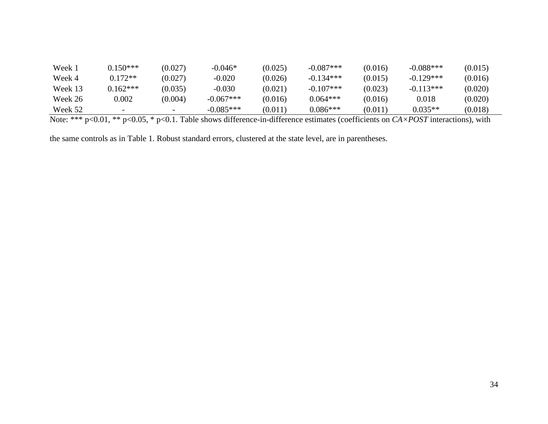| Week 1  | $0.150***$               | (0.027) | $-0.046*$   | (0.025) | $-0.087***$ | (0.016) | $-0.088***$ | (0.015) |
|---------|--------------------------|---------|-------------|---------|-------------|---------|-------------|---------|
| Week 4  | $0.172**$                | (0.027) | -0.020      | (0.026) | $-0.134***$ | (0.015) | $-0.129***$ | (0.016) |
| Week 13 | $0.162***$               | (0.035) | -0.030      | (0.021) | $-0.107***$ | (0.023) | $-0.113***$ | (0.020) |
| Week 26 | 0.002                    | (0.004) | $-0.067***$ | (0.016) | $0.064***$  | (0.016) | $0.018\,$   | (0.020) |
| Week 52 | $\overline{\phantom{0}}$ |         | $-0.085***$ | (0.011) | $0.086***$  | (0.011) | $0.035**$   | (0.018) |

Note: \*\*\* p<0.01, \*\* p<0.05, \* p<0.1. Table shows difference-in-difference estimates (coefficients on *CA×POST* interactions), with

the same controls as in Table 1. Robust standard errors, clustered at the state level, are in parentheses.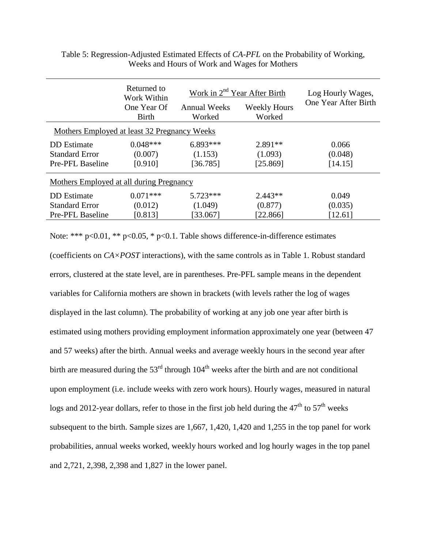|                                              | Returned to<br>Work Within | Work in 2 <sup>nd</sup> Year After Birth |                     | Log Hourly Wages,    |  |  |  |  |  |
|----------------------------------------------|----------------------------|------------------------------------------|---------------------|----------------------|--|--|--|--|--|
|                                              | One Year Of                | <b>Annual Weeks</b>                      | <b>Weekly Hours</b> | One Year After Birth |  |  |  |  |  |
|                                              | <b>Birth</b>               | Worked                                   | Worked              |                      |  |  |  |  |  |
| Mothers Employed at least 32 Pregnancy Weeks |                            |                                          |                     |                      |  |  |  |  |  |
| DD Estimate                                  | $0.048***$                 | $6.893***$                               | $2.891**$           | 0.066                |  |  |  |  |  |
| <b>Standard Error</b>                        | (0.007)                    | (1.153)                                  | (1.093)             | (0.048)              |  |  |  |  |  |
| Pre-PFL Baseline                             | [0.910]                    | [36.785]                                 | [25.869]            | [14.15]              |  |  |  |  |  |
| Mothers Employed at all during Pregnancy     |                            |                                          |                     |                      |  |  |  |  |  |
| DD Estimate                                  | $0.071***$                 | $5.723***$                               | $2.443**$           | 0.049                |  |  |  |  |  |
| <b>Standard Error</b>                        | (0.012)                    | (1.049)                                  | (0.877)             | (0.035)              |  |  |  |  |  |
| Pre-PFL Baseline                             | [0.813]                    | [33.067]                                 | [22.866]            | [12.61]              |  |  |  |  |  |

Table 5: Regression-Adjusted Estimated Effects of *CA-PFL* on the Probability of Working, Weeks and Hours of Work and Wages for Mothers

Note: \*\*\* p<0.01, \*\* p<0.05, \* p<0.1. Table shows difference-in-difference estimates

(coefficients on *CA×POST* interactions), with the same controls as in Table 1. Robust standard errors, clustered at the state level, are in parentheses. Pre-PFL sample means in the dependent variables for California mothers are shown in brackets (with levels rather the log of wages displayed in the last column). The probability of working at any job one year after birth is estimated using mothers providing employment information approximately one year (between 47 and 57 weeks) after the birth. Annual weeks and average weekly hours in the second year after birth are measured during the  $53<sup>rd</sup>$  through  $104<sup>th</sup>$  weeks after the birth and are not conditional upon employment (i.e. include weeks with zero work hours). Hourly wages, measured in natural logs and 2012-year dollars, refer to those in the first job held during the  $47<sup>th</sup>$  to  $57<sup>th</sup>$  weeks subsequent to the birth. Sample sizes are 1,667, 1,420, 1,420 and 1,255 in the top panel for work probabilities, annual weeks worked, weekly hours worked and log hourly wages in the top panel and 2,721, 2,398, 2,398 and 1,827 in the lower panel.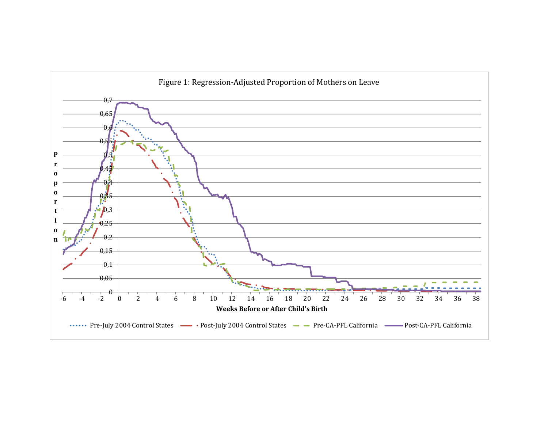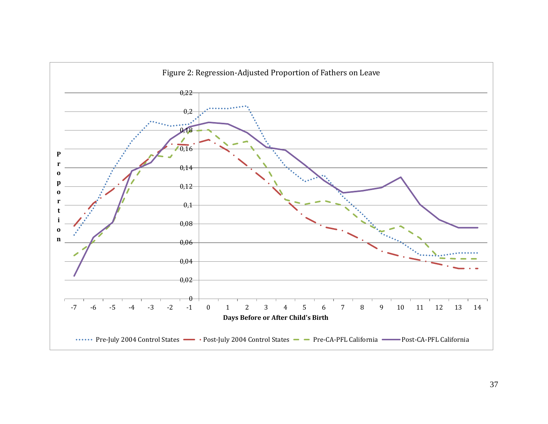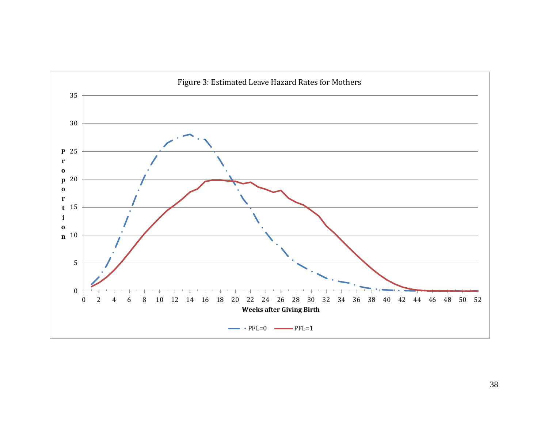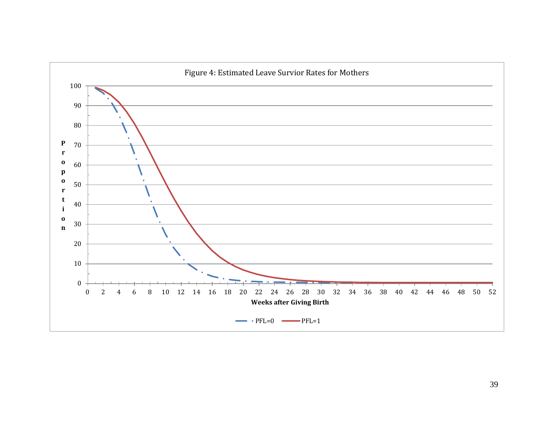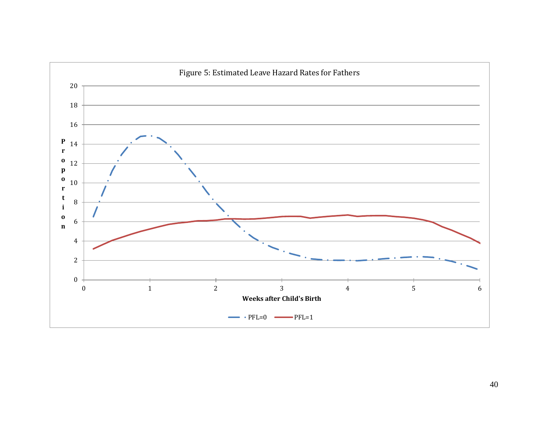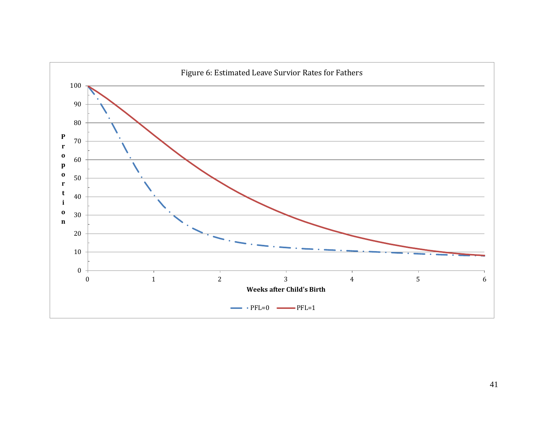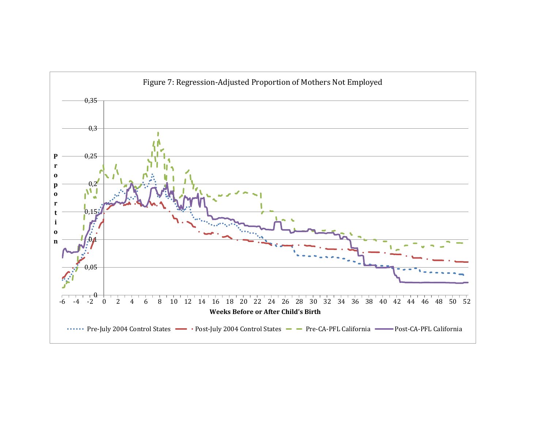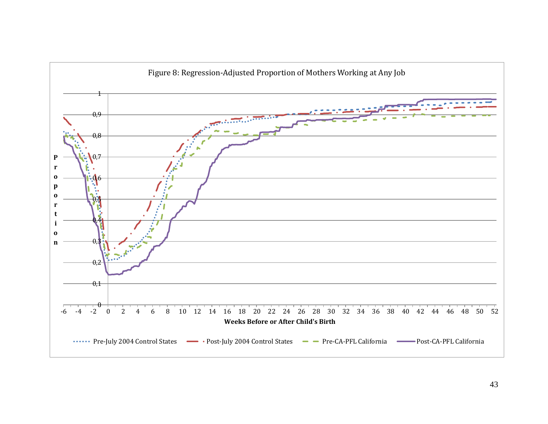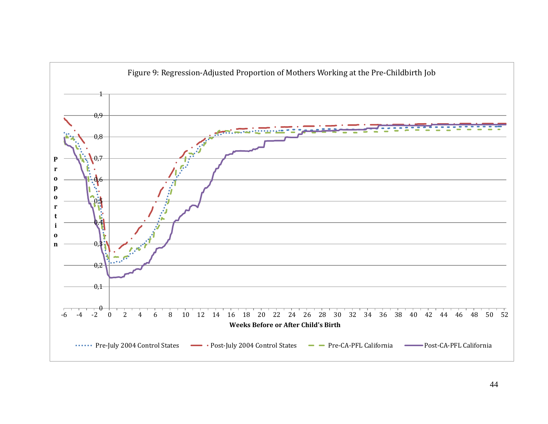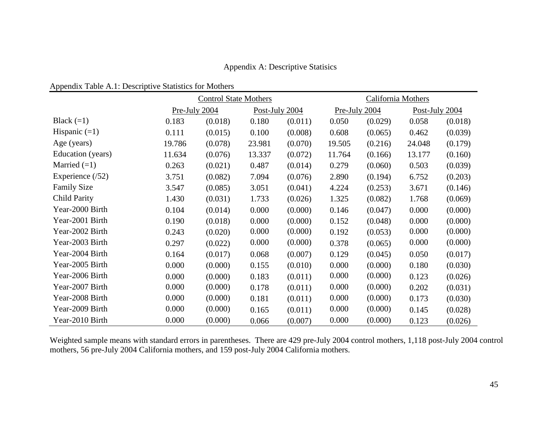Appendix A: Descriptive Statisics

|                    | <b>Control State Mothers</b> |                                 |        | California Mothers |        |                |        |         |
|--------------------|------------------------------|---------------------------------|--------|--------------------|--------|----------------|--------|---------|
|                    |                              | Pre-July 2004<br>Post-July 2004 |        | Pre-July 2004      |        | Post-July 2004 |        |         |
| Black $(=1)$       | 0.183                        | (0.018)                         | 0.180  | (0.011)            | 0.050  | (0.029)        | 0.058  | (0.018) |
| Hispanic $(=1)$    | 0.111                        | (0.015)                         | 0.100  | (0.008)            | 0.608  | (0.065)        | 0.462  | (0.039) |
| Age (years)        | 19.786                       | (0.078)                         | 23.981 | (0.070)            | 19.505 | (0.216)        | 24.048 | (0.179) |
| Education (years)  | 11.634                       | (0.076)                         | 13.337 | (0.072)            | 11.764 | (0.166)        | 13.177 | (0.160) |
| Married $(=1)$     | 0.263                        | (0.021)                         | 0.487  | (0.014)            | 0.279  | (0.060)        | 0.503  | (0.039) |
| Experience $(52)$  | 3.751                        | (0.082)                         | 7.094  | (0.076)            | 2.890  | (0.194)        | 6.752  | (0.203) |
| <b>Family Size</b> | 3.547                        | (0.085)                         | 3.051  | (0.041)            | 4.224  | (0.253)        | 3.671  | (0.146) |
| Child Parity       | 1.430                        | (0.031)                         | 1.733  | (0.026)            | 1.325  | (0.082)        | 1.768  | (0.069) |
| Year-2000 Birth    | 0.104                        | (0.014)                         | 0.000  | (0.000)            | 0.146  | (0.047)        | 0.000  | (0.000) |
| Year-2001 Birth    | 0.190                        | (0.018)                         | 0.000  | (0.000)            | 0.152  | (0.048)        | 0.000  | (0.000) |
| Year-2002 Birth    | 0.243                        | (0.020)                         | 0.000  | (0.000)            | 0.192  | (0.053)        | 0.000  | (0.000) |
| Year-2003 Birth    | 0.297                        | (0.022)                         | 0.000  | (0.000)            | 0.378  | (0.065)        | 0.000  | (0.000) |
| Year-2004 Birth    | 0.164                        | (0.017)                         | 0.068  | (0.007)            | 0.129  | (0.045)        | 0.050  | (0.017) |
| Year-2005 Birth    | 0.000                        | (0.000)                         | 0.155  | (0.010)            | 0.000  | (0.000)        | 0.180  | (0.030) |
| Year-2006 Birth    | 0.000                        | (0.000)                         | 0.183  | (0.011)            | 0.000  | (0.000)        | 0.123  | (0.026) |
| Year-2007 Birth    | 0.000                        | (0.000)                         | 0.178  | (0.011)            | 0.000  | (0.000)        | 0.202  | (0.031) |
| Year-2008 Birth    | 0.000                        | (0.000)                         | 0.181  | (0.011)            | 0.000  | (0.000)        | 0.173  | (0.030) |
| Year-2009 Birth    | 0.000                        | (0.000)                         | 0.165  | (0.011)            | 0.000  | (0.000)        | 0.145  | (0.028) |
| Year-2010 Birth    | 0.000                        | (0.000)                         | 0.066  | (0.007)            | 0.000  | (0.000)        | 0.123  | (0.026) |

Weighted sample means with standard errors in parentheses. There are 429 pre-July 2004 control mothers, 1,118 post-July 2004 control mothers, 56 pre-July 2004 California mothers, and 159 post-July 2004 California mothers.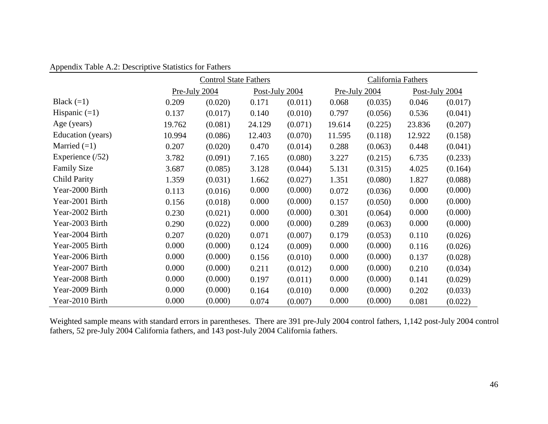Appendix Table A.2: Descriptive Statistics for Fathers

|                    | <b>Control State Fathers</b> |                                 |        | California Fathers |               |         |                |         |
|--------------------|------------------------------|---------------------------------|--------|--------------------|---------------|---------|----------------|---------|
|                    |                              | Pre-July 2004<br>Post-July 2004 |        |                    | Pre-July 2004 |         | Post-July 2004 |         |
| Black $(=1)$       | 0.209                        | (0.020)                         | 0.171  | (0.011)            | 0.068         | (0.035) | 0.046          | (0.017) |
| Hispanic $(=1)$    | 0.137                        | (0.017)                         | 0.140  | (0.010)            | 0.797         | (0.056) | 0.536          | (0.041) |
| Age (years)        | 19.762                       | (0.081)                         | 24.129 | (0.071)            | 19.614        | (0.225) | 23.836         | (0.207) |
| Education (years)  | 10.994                       | (0.086)                         | 12.403 | (0.070)            | 11.595        | (0.118) | 12.922         | (0.158) |
| Married $(=1)$     | 0.207                        | (0.020)                         | 0.470  | (0.014)            | 0.288         | (0.063) | 0.448          | (0.041) |
| Experience $(52)$  | 3.782                        | (0.091)                         | 7.165  | (0.080)            | 3.227         | (0.215) | 6.735          | (0.233) |
| <b>Family Size</b> | 3.687                        | (0.085)                         | 3.128  | (0.044)            | 5.131         | (0.315) | 4.025          | (0.164) |
| Child Parity       | 1.359                        | (0.031)                         | 1.662  | (0.027)            | 1.351         | (0.080) | 1.827          | (0.088) |
| Year-2000 Birth    | 0.113                        | (0.016)                         | 0.000  | (0.000)            | 0.072         | (0.036) | 0.000          | (0.000) |
| Year-2001 Birth    | 0.156                        | (0.018)                         | 0.000  | (0.000)            | 0.157         | (0.050) | 0.000          | (0.000) |
| Year-2002 Birth    | 0.230                        | (0.021)                         | 0.000  | (0.000)            | 0.301         | (0.064) | 0.000          | (0.000) |
| Year-2003 Birth    | 0.290                        | (0.022)                         | 0.000  | (0.000)            | 0.289         | (0.063) | 0.000          | (0.000) |
| Year-2004 Birth    | 0.207                        | (0.020)                         | 0.071  | (0.007)            | 0.179         | (0.053) | 0.110          | (0.026) |
| Year-2005 Birth    | 0.000                        | (0.000)                         | 0.124  | (0.009)            | 0.000         | (0.000) | 0.116          | (0.026) |
| Year-2006 Birth    | 0.000                        | (0.000)                         | 0.156  | (0.010)            | 0.000         | (0.000) | 0.137          | (0.028) |
| Year-2007 Birth    | 0.000                        | (0.000)                         | 0.211  | (0.012)            | 0.000         | (0.000) | 0.210          | (0.034) |
| Year-2008 Birth    | 0.000                        | (0.000)                         | 0.197  | (0.011)            | 0.000         | (0.000) | 0.141          | (0.029) |
| Year-2009 Birth    | 0.000                        | (0.000)                         | 0.164  | (0.010)            | 0.000         | (0.000) | 0.202          | (0.033) |
| Year-2010 Birth    | 0.000                        | (0.000)                         | 0.074  | (0.007)            | 0.000         | (0.000) | 0.081          | (0.022) |

Weighted sample means with standard errors in parentheses. There are 391 pre-July 2004 control fathers, 1,142 post-July 2004 control fathers, 52 pre-July 2004 California fathers, and 143 post-July 2004 California fathers.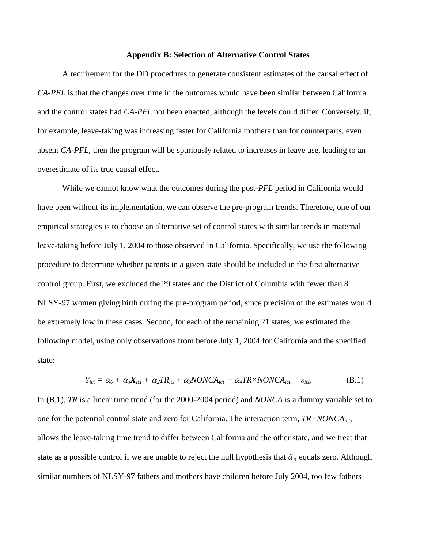#### **Appendix B: Selection of Alternative Control States**

A requirement for the DD procedures to generate consistent estimates of the causal effect of *CA-PFL* is that the changes over time in the outcomes would have been similar between California and the control states had *CA-PFL* not been enacted, although the levels could differ. Conversely, if, for example, leave-taking was increasing faster for California mothers than for counterparts, even absent *CA-PFL*, then the program will be spuriously related to increases in leave use, leading to an overestimate of its true causal effect.

While we cannot know what the outcomes during the post-*PFL* period in California would have been without its implementation, we can observe the pre-program trends. Therefore, one of our empirical strategies is to choose an alternative set of control states with similar trends in maternal leave-taking before July 1, 2004 to those observed in California. Specifically, we use the following procedure to determine whether parents in a given state should be included in the first alternative control group. First, we excluded the 29 states and the District of Columbia with fewer than 8 NLSY-97 women giving birth during the pre-program period, since precision of the estimates would be extremely low in these cases. Second, for each of the remaining 21 states, we estimated the following model, using only observations from before July 1, 2004 for California and the specified state:

$$
Y_{ict} = \alpha_0 + \alpha_1 X_{ict} + \alpha_2 T R_{ict} + \alpha_3 NONCA_{ict} + \alpha_4 T R \times NONCA_{ict} + \varepsilon_{ict}.
$$
 (B.1)

In (B.1), *TR* is a linear time trend (for the 2000-2004 period) and *NONCA* is a dummy variable set to one for the potential control state and zero for California. The interaction term, *TR×NONCAict*, allows the leave-taking time trend to differ between California and the other state, and we treat that state as a possible control if we are unable to reject the null hypothesis that  $\hat{\alpha}_4$  equals zero. Although similar numbers of NLSY-97 fathers and mothers have children before July 2004, too few fathers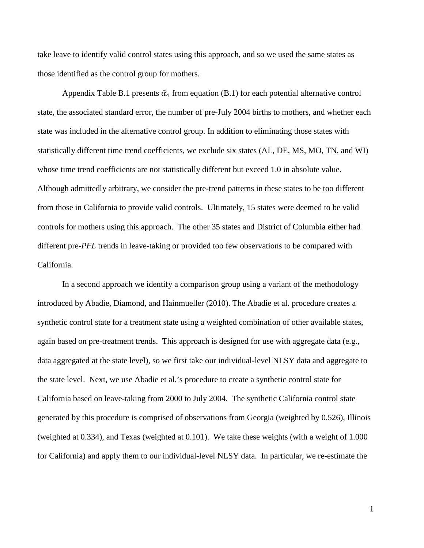take leave to identify valid control states using this approach, and so we used the same states as those identified as the control group for mothers.

Appendix Table B.1 presents  $\hat{\alpha}_4$  from equation (B.1) for each potential alternative control state, the associated standard error, the number of pre-July 2004 births to mothers, and whether each state was included in the alternative control group. In addition to eliminating those states with statistically different time trend coefficients, we exclude six states (AL, DE, MS, MO, TN, and WI) whose time trend coefficients are not statistically different but exceed 1.0 in absolute value. Although admittedly arbitrary, we consider the pre-trend patterns in these states to be too different from those in California to provide valid controls. Ultimately, 15 states were deemed to be valid controls for mothers using this approach. The other 35 states and District of Columbia either had different pre-*PFL* trends in leave-taking or provided too few observations to be compared with California.

In a second approach we identify a comparison group using a variant of the methodology introduced by Abadie, Diamond, and Hainmueller (2010). The Abadie et al. procedure creates a synthetic control state for a treatment state using a weighted combination of other available states, again based on pre-treatment trends. This approach is designed for use with aggregate data (e.g., data aggregated at the state level), so we first take our individual-level NLSY data and aggregate to the state level. Next, we use Abadie et al.'s procedure to create a synthetic control state for California based on leave-taking from 2000 to July 2004. The synthetic California control state generated by this procedure is comprised of observations from Georgia (weighted by 0.526), Illinois (weighted at 0.334), and Texas (weighted at 0.101). We take these weights (with a weight of 1.000 for California) and apply them to our individual-level NLSY data. In particular, we re-estimate the